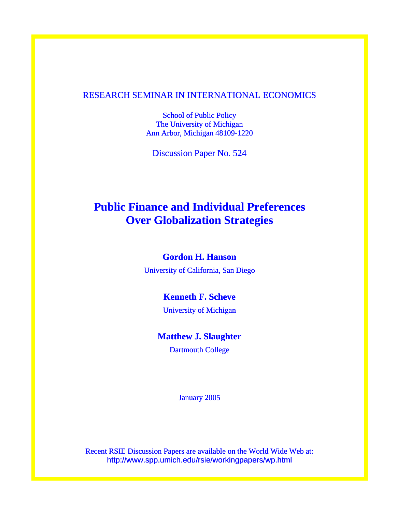# RESEARCH SEMINAR IN INTERNATIONAL ECONOMICS

School of Public Policy The University of Michigan Ann Arbor, Michigan 48109-1220

Discussion Paper No. 524

# **Public Finance and Individual Preferences Over Globalization Strategies**

# **Gordon H. Hanson**

University of California, San Diego

# **Kenneth F. Scheve**

University of Michigan

# **Matthew J. Slaughter**

Dartmouth College

January 2005

Recent RSIE Discussion Papers are available on the World Wide Web at: http://www.spp.umich.edu/rsie/workingpapers/wp.html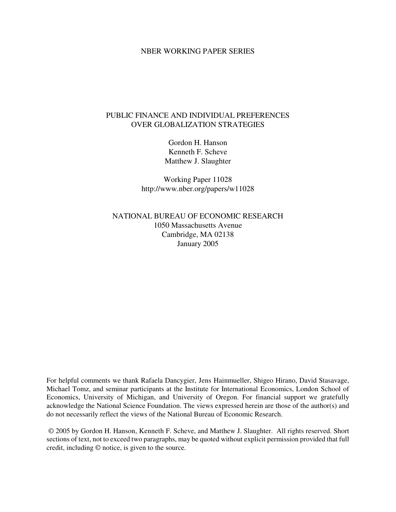#### NBER WORKING PAPER SERIES

# PUBLIC FINANCE AND INDIVIDUAL PREFERENCES OVER GLOBALIZATION STRATEGIES

Gordon H. Hanson Kenneth F. Scheve Matthew J. Slaughter

Working Paper 11028 http://www.nber.org/papers/w11028

NATIONAL BUREAU OF ECONOMIC RESEARCH 1050 Massachusetts Avenue Cambridge, MA 02138 January 2005

For helpful comments we thank Rafaela Dancygier, Jens Hainmueller, Shigeo Hirano, David Stasavage, Michael Tomz, and seminar participants at the Institute for International Economics, London School of Economics, University of Michigan, and University of Oregon. For financial support we gratefully acknowledge the National Science Foundation. The views expressed herein are those of the author(s) and do not necessarily reflect the views of the National Bureau of Economic Research.

© 2005 by Gordon H. Hanson, Kenneth F. Scheve, and Matthew J. Slaughter. All rights reserved. Short sections of text, not to exceed two paragraphs, may be quoted without explicit permission provided that full credit, including © notice, is given to the source.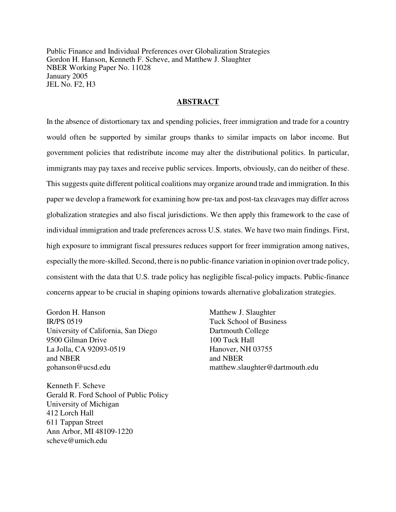Public Finance and Individual Preferences over Globalization Strategies Gordon H. Hanson, Kenneth F. Scheve, and Matthew J. Slaughter NBER Working Paper No. 11028 January 2005 JEL No. F2, H3

#### **ABSTRACT**

In the absence of distortionary tax and spending policies, freer immigration and trade for a country would often be supported by similar groups thanks to similar impacts on labor income. But government policies that redistribute income may alter the distributional politics. In particular, immigrants may pay taxes and receive public services. Imports, obviously, can do neither of these. Thissuggests quite different political coalitions may organize around trade and immigration. In this paper we develop a framework for examining how pre-tax and post-tax cleavages may differ across globalization strategies and also fiscal jurisdictions. We then apply this framework to the case of individual immigration and trade preferences across U.S. states. We have two main findings. First, high exposure to immigrant fiscal pressures reduces support for freer immigration among natives, especially the more-skilled. Second, there is no public-finance variation in opinion overtrade policy, consistent with the data that U.S. trade policy has negligible fiscal-policy impacts. Public-finance concerns appear to be crucial in shaping opinions towards alternative globalization strategies.

Gordon H. Hanson IR/PS 0519 University of California, San Diego 9500 Gilman Drive La Jolla, CA 92093-0519 and NBER gohanson@ucsd.edu

Kenneth F. Scheve Gerald R. Ford School of Public Policy University of Michigan 412 Lorch Hall 611 Tappan Street Ann Arbor, MI 48109-1220 scheve@umich.edu

Matthew J. Slaughter Tuck School of Business Dartmouth College 100 Tuck Hall Hanover, NH 03755 and NBER matthew.slaughter@dartmouth.edu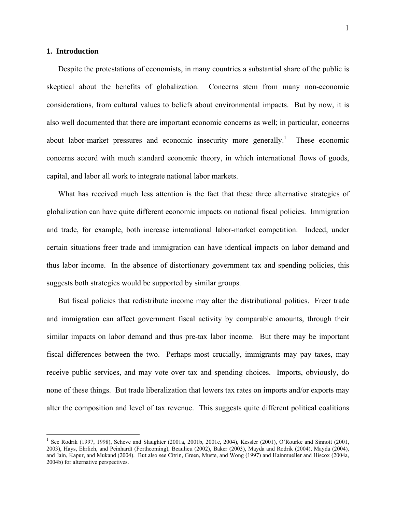#### **1. Introduction**

 $\overline{a}$ 

 Despite the protestations of economists, in many countries a substantial share of the public is skeptical about the benefits of globalization. Concerns stem from many non-economic considerations, from cultural values to beliefs about environmental impacts. But by now, it is also well documented that there are important economic concerns as well; in particular, concerns about labor-market pressures and economic insecurity more generally.<sup>1</sup> These economic concerns accord with much standard economic theory, in which international flows of goods, capital, and labor all work to integrate national labor markets.

 What has received much less attention is the fact that these three alternative strategies of globalization can have quite different economic impacts on national fiscal policies. Immigration and trade, for example, both increase international labor-market competition. Indeed, under certain situations freer trade and immigration can have identical impacts on labor demand and thus labor income. In the absence of distortionary government tax and spending policies, this suggests both strategies would be supported by similar groups.

 But fiscal policies that redistribute income may alter the distributional politics. Freer trade and immigration can affect government fiscal activity by comparable amounts, through their similar impacts on labor demand and thus pre-tax labor income. But there may be important fiscal differences between the two. Perhaps most crucially, immigrants may pay taxes, may receive public services, and may vote over tax and spending choices. Imports, obviously, do none of these things. But trade liberalization that lowers tax rates on imports and/or exports may alter the composition and level of tax revenue. This suggests quite different political coalitions

<sup>1</sup> See Rodrik (1997, 1998), Scheve and Slaughter (2001a, 2001b, 2001c, 2004), Kessler (2001), O'Rourke and Sinnott (2001, 2003), Hays, Ehrlich, and Peinhardt (Forthcoming), Beaulieu (2002), Baker (2003), Mayda and Rodrik (2004), Mayda (2004), and Jain, Kapur, and Mukand (2004). But also see Citrin, Green, Muste, and Wong (1997) and Hainmueller and Hiscox (2004a, 2004b) for alternative perspectives.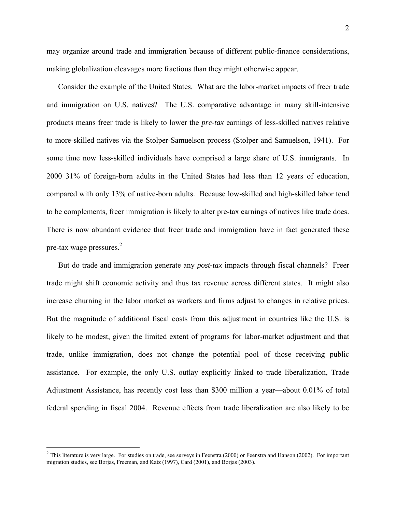may organize around trade and immigration because of different public-finance considerations, making globalization cleavages more fractious than they might otherwise appear.

 Consider the example of the United States. What are the labor-market impacts of freer trade and immigration on U.S. natives? The U.S. comparative advantage in many skill-intensive products means freer trade is likely to lower the *pre-tax* earnings of less-skilled natives relative to more-skilled natives via the Stolper-Samuelson process (Stolper and Samuelson, 1941). For some time now less-skilled individuals have comprised a large share of U.S. immigrants. In 2000 31% of foreign-born adults in the United States had less than 12 years of education, compared with only 13% of native-born adults. Because low-skilled and high-skilled labor tend to be complements, freer immigration is likely to alter pre-tax earnings of natives like trade does. There is now abundant evidence that freer trade and immigration have in fact generated these pre-tax wage pressures. $2$ 

 But do trade and immigration generate any *post-tax* impacts through fiscal channels? Freer trade might shift economic activity and thus tax revenue across different states. It might also increase churning in the labor market as workers and firms adjust to changes in relative prices. But the magnitude of additional fiscal costs from this adjustment in countries like the U.S. is likely to be modest, given the limited extent of programs for labor-market adjustment and that trade, unlike immigration, does not change the potential pool of those receiving public assistance. For example, the only U.S. outlay explicitly linked to trade liberalization, Trade Adjustment Assistance, has recently cost less than \$300 million a year—about 0.01% of total federal spending in fiscal 2004. Revenue effects from trade liberalization are also likely to be

 $2$  This literature is very large. For studies on trade, see surveys in Feenstra (2000) or Feenstra and Hanson (2002). For important migration studies, see Borjas, Freeman, and Katz (1997), Card (2001), and Borjas (2003).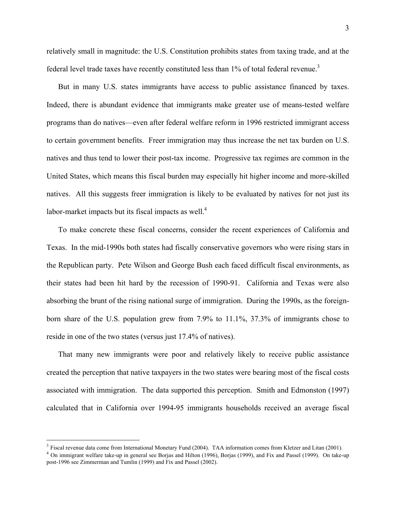relatively small in magnitude: the U.S. Constitution prohibits states from taxing trade, and at the federal level trade taxes have recently constituted less than 1% of total federal revenue.<sup>3</sup>

 But in many U.S. states immigrants have access to public assistance financed by taxes. Indeed, there is abundant evidence that immigrants make greater use of means-tested welfare programs than do natives—even after federal welfare reform in 1996 restricted immigrant access to certain government benefits. Freer immigration may thus increase the net tax burden on U.S. natives and thus tend to lower their post-tax income. Progressive tax regimes are common in the United States, which means this fiscal burden may especially hit higher income and more-skilled natives. All this suggests freer immigration is likely to be evaluated by natives for not just its labor-market impacts but its fiscal impacts as well. $4$ 

 To make concrete these fiscal concerns, consider the recent experiences of California and Texas. In the mid-1990s both states had fiscally conservative governors who were rising stars in the Republican party. Pete Wilson and George Bush each faced difficult fiscal environments, as their states had been hit hard by the recession of 1990-91. California and Texas were also absorbing the brunt of the rising national surge of immigration. During the 1990s, as the foreignborn share of the U.S. population grew from 7.9% to 11.1%, 37.3% of immigrants chose to reside in one of the two states (versus just 17.4% of natives).

 That many new immigrants were poor and relatively likely to receive public assistance created the perception that native taxpayers in the two states were bearing most of the fiscal costs associated with immigration. The data supported this perception. Smith and Edmonston (1997) calculated that in California over 1994-95 immigrants households received an average fiscal

<sup>&</sup>lt;sup>3</sup> Fiscal revenue data come from International Monetary Fund (2004). TAA information comes from Kletzer and Litan (2001).

<sup>&</sup>lt;sup>4</sup> On immigrant welfare take-up in general see Borjas and Hilton (1996), Borjas (1999), and Fix and Passel (1999). On take-up post-1996 see Zimmerman and Tumlin (1999) and Fix and Passel (2002).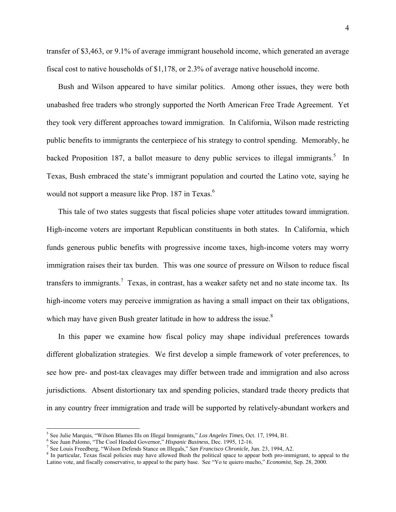transfer of \$3,463, or 9.1% of average immigrant household income, which generated an average fiscal cost to native households of \$1,178, or 2.3% of average native household income.

 Bush and Wilson appeared to have similar politics. Among other issues, they were both unabashed free traders who strongly supported the North American Free Trade Agreement. Yet they took very different approaches toward immigration. In California, Wilson made restricting public benefits to immigrants the centerpiece of his strategy to control spending. Memorably, he backed Proposition 187, a ballot measure to deny public services to illegal immigrants.<sup>5</sup> In Texas, Bush embraced the state's immigrant population and courted the Latino vote, saying he would not support a measure like Prop. 187 in Texas.<sup>6</sup>

 This tale of two states suggests that fiscal policies shape voter attitudes toward immigration. High-income voters are important Republican constituents in both states. In California, which funds generous public benefits with progressive income taxes, high-income voters may worry immigration raises their tax burden. This was one source of pressure on Wilson to reduce fiscal transfers to immigrants.<sup>7</sup> Texas, in contrast, has a weaker safety net and no state income tax. Its high-income voters may perceive immigration as having a small impact on their tax obligations, which may have given Bush greater latitude in how to address the issue. $8$ 

 In this paper we examine how fiscal policy may shape individual preferences towards different globalization strategies. We first develop a simple framework of voter preferences, to see how pre- and post-tax cleavages may differ between trade and immigration and also across jurisdictions. Absent distortionary tax and spending policies, standard trade theory predicts that in any country freer immigration and trade will be supported by relatively-abundant workers and

<sup>&</sup>lt;sup>5</sup> See Julie Marquis, "Wilson Blames Ills on Illegal Immigrants," *Los Angeles Times*, Oct. 17, 1994, B1.<br><sup>6</sup> See Juan Balama, "The Cool Haeded Governor," *Hispania Business*, Dec. 1995, 12, 16

<sup>&</sup>lt;sup>6</sup> See Juan Palomo, "The Cool Headed Governor," *Hispanic Business*, Dec. 1995, 12-16.

<sup>&</sup>lt;sup>7</sup> See Louis Freedberg, "Wilson Defends Stance on Illegals," San Francisco Chronicle, Jun. 23, 1994, A2.

<sup>&</sup>lt;sup>8</sup> In particular, Texas fiscal policies may have allowed Bush the political space to appear both pro-immigrant, to appeal to the Latino vote, and fiscally conservative, to appeal to the party base. See "Yo te quiero mucho," *Economist*, Sep. 28, 2000.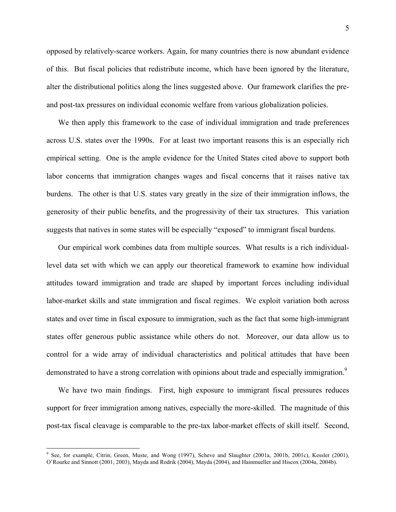opposed by relatively-scarce workers. Again, for many countries there is now abundant evidence of this. But fiscal policies that redistribute income, which have been ignored by the literature, alter the distributional politics along the lines suggested above. Our framework clarifies the preand post-tax pressures on individual economic welfare from various globalization policies.

 We then apply this framework to the case of individual immigration and trade preferences across U.S. states over the 1990s. For at least two important reasons this is an especially rich empirical setting. One is the ample evidence for the United States cited above to support both labor concerns that immigration changes wages and fiscal concerns that it raises native tax burdens. The other is that U.S. states vary greatly in the size of their immigration inflows, the generosity of their public benefits, and the progressivity of their tax structures. This variation suggests that natives in some states will be especially "exposed" to immigrant fiscal burdens.

 Our empirical work combines data from multiple sources. What results is a rich individuallevel data set with which we can apply our theoretical framework to examine how individual attitudes toward immigration and trade are shaped by important forces including individual labor-market skills and state immigration and fiscal regimes. We exploit variation both across states and over time in fiscal exposure to immigration, such as the fact that some high-immigrant states offer generous public assistance while others do not. Moreover, our data allow us to control for a wide array of individual characteristics and political attitudes that have been demonstrated to have a strong correlation with opinions about trade and especially immigration.<sup>9</sup>

 We have two main findings. First, high exposure to immigrant fiscal pressures reduces support for freer immigration among natives, especially the more-skilled. The magnitude of this post-tax fiscal cleavage is comparable to the pre-tax labor-market effects of skill itself. Second,

ere, for example, Citrin, Green, Muste, and Wong (1997), Scheve and Slaughter (2001a, 2001b, 2001c), Kessler (2001), <br><sup>9</sup> See, for example, Citrin, Green, Muste, and Wong (1997), Scheve and Slaughter (2001a, 2001b, 2001c), O'Rourke and Sinnott (2001, 2003), Mayda and Rodrik (2004), Mayda (2004), and Hainmueller and Hiscox (2004a, 2004b).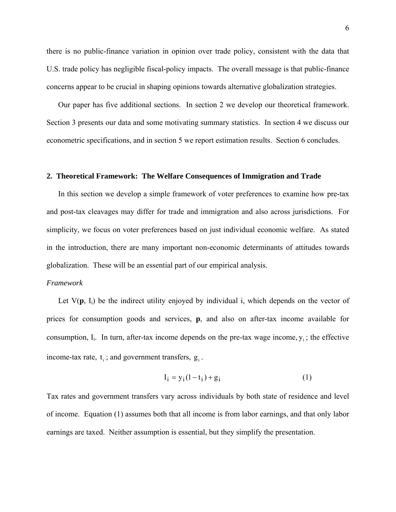there is no public-finance variation in opinion over trade policy, consistent with the data that U.S. trade policy has negligible fiscal-policy impacts. The overall message is that public-finance concerns appear to be crucial in shaping opinions towards alternative globalization strategies.

 Our paper has five additional sections. In section 2 we develop our theoretical framework. Section 3 presents our data and some motivating summary statistics. In section 4 we discuss our econometric specifications, and in section 5 we report estimation results. Section 6 concludes.

#### **2. Theoretical Framework: The Welfare Consequences of Immigration and Trade**

 In this section we develop a simple framework of voter preferences to examine how pre-tax and post-tax cleavages may differ for trade and immigration and also across jurisdictions. For simplicity, we focus on voter preferences based on just individual economic welfare. As stated in the introduction, there are many important non-economic determinants of attitudes towards globalization. These will be an essential part of our empirical analysis.

#### *Framework*

Let  $V(\mathbf{p}, I_i)$  be the indirect utility enjoyed by individual i, which depends on the vector of prices for consumption goods and services, **p**, and also on after-tax income available for consumption,  $I_i$ . In turn, after-tax income depends on the pre-tax wage income,  $y_i$ ; the effective income-tax rate,  $t_i$ ; and government transfers,  $g_i$ .

$$
I_i = y_i(1 - t_i) + g_i
$$
 (1)

Tax rates and government transfers vary across individuals by both state of residence and level of income. Equation (1) assumes both that all income is from labor earnings, and that only labor earnings are taxed. Neither assumption is essential, but they simplify the presentation.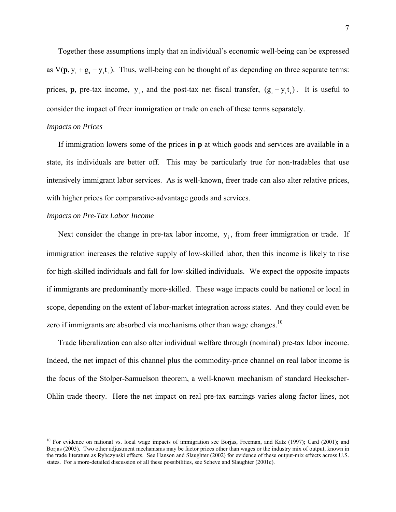Together these assumptions imply that an individual's economic well-being can be expressed as  $V(\mathbf{p}, y_i + g_i - y_i t_i)$ . Thus, well-being can be thought of as depending on three separate terms: prices, **p**, pre-tax income,  $y_i$ , and the post-tax net fiscal transfer,  $(g_i - y_i t_i)$ . It is useful to consider the impact of freer immigration or trade on each of these terms separately.

#### *Impacts on Prices*

 $\overline{a}$ 

 If immigration lowers some of the prices in **p** at which goods and services are available in a state, its individuals are better off. This may be particularly true for non-tradables that use intensively immigrant labor services. As is well-known, freer trade can also alter relative prices, with higher prices for comparative-advantage goods and services.

### *Impacts on Pre-Tax Labor Income*

Next consider the change in pre-tax labor income,  $y_i$ , from freer immigration or trade. If immigration increases the relative supply of low-skilled labor, then this income is likely to rise for high-skilled individuals and fall for low-skilled individuals. We expect the opposite impacts if immigrants are predominantly more-skilled. These wage impacts could be national or local in scope, depending on the extent of labor-market integration across states. And they could even be zero if immigrants are absorbed via mechanisms other than wage changes.<sup>10</sup>

 Trade liberalization can also alter individual welfare through (nominal) pre-tax labor income. Indeed, the net impact of this channel plus the commodity-price channel on real labor income is the focus of the Stolper-Samuelson theorem, a well-known mechanism of standard Heckscher-Ohlin trade theory. Here the net impact on real pre-tax earnings varies along factor lines, not

<sup>&</sup>lt;sup>10</sup> For evidence on national vs. local wage impacts of immigration see Borjas, Freeman, and Katz (1997); Card (2001); and Borjas (2003). Two other adjustment mechanisms may be factor prices other than wages or the industry mix of output, known in the trade literature as Rybczynski effects. See Hanson and Slaughter (2002) for evidence of these output-mix effects across U.S. states. For a more-detailed discussion of all these possibilities, see Scheve and Slaughter (2001c).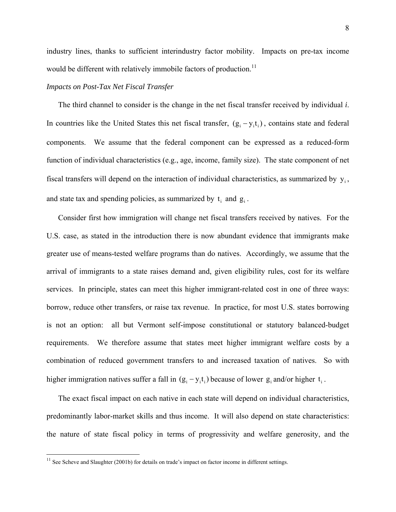industry lines, thanks to sufficient interindustry factor mobility. Impacts on pre-tax income would be different with relatively immobile factors of production.<sup>11</sup>

### *Impacts on Post-Tax Net Fiscal Transfer*

 The third channel to consider is the change in the net fiscal transfer received by individual *i*. In countries like the United States this net fiscal transfer,  $(g_i - y_i t_i)$ , contains state and federal components. We assume that the federal component can be expressed as a reduced-form function of individual characteristics (e.g., age, income, family size). The state component of net fiscal transfers will depend on the interaction of individual characteristics, as summarized by  $y_i$ , and state tax and spending policies, as summarized by  $t_i$  and  $g_i$ .

 Consider first how immigration will change net fiscal transfers received by natives. For the U.S. case, as stated in the introduction there is now abundant evidence that immigrants make greater use of means-tested welfare programs than do natives. Accordingly, we assume that the arrival of immigrants to a state raises demand and, given eligibility rules, cost for its welfare services. In principle, states can meet this higher immigrant-related cost in one of three ways: borrow, reduce other transfers, or raise tax revenue. In practice, for most U.S. states borrowing is not an option: all but Vermont self-impose constitutional or statutory balanced-budget requirements. We therefore assume that states meet higher immigrant welfare costs by a combination of reduced government transfers to and increased taxation of natives. So with higher immigration natives suffer a fall in  $(g_i - y_i t_i)$  because of lower  $g_i$  and/or higher  $t_i$ .

 The exact fiscal impact on each native in each state will depend on individual characteristics, predominantly labor-market skills and thus income. It will also depend on state characteristics: the nature of state fiscal policy in terms of progressivity and welfare generosity, and the

<u>.</u>

<sup>&</sup>lt;sup>11</sup> See Scheve and Slaughter (2001b) for details on trade's impact on factor income in different settings.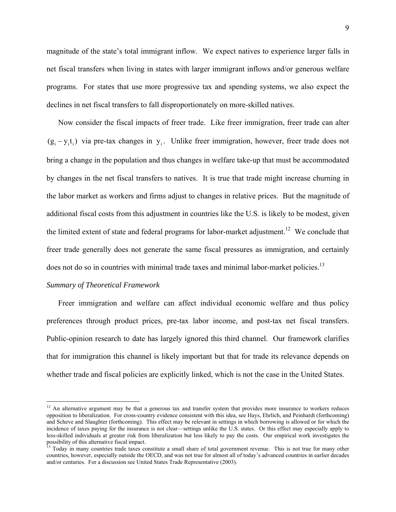magnitude of the state's total immigrant inflow. We expect natives to experience larger falls in net fiscal transfers when living in states with larger immigrant inflows and/or generous welfare programs. For states that use more progressive tax and spending systems, we also expect the declines in net fiscal transfers to fall disproportionately on more-skilled natives.

 Now consider the fiscal impacts of freer trade. Like freer immigration, freer trade can alter  $(g_i - y_i t_i)$  via pre-tax changes in  $y_i$ . Unlike freer immigration, however, freer trade does not bring a change in the population and thus changes in welfare take-up that must be accommodated by changes in the net fiscal transfers to natives. It is true that trade might increase churning in the labor market as workers and firms adjust to changes in relative prices. But the magnitude of additional fiscal costs from this adjustment in countries like the U.S. is likely to be modest, given the limited extent of state and federal programs for labor-market adjustment.<sup>12</sup> We conclude that freer trade generally does not generate the same fiscal pressures as immigration, and certainly does not do so in countries with minimal trade taxes and minimal labor-market policies.<sup>13</sup>

#### *Summary of Theoretical Framework*

 $\overline{a}$ 

 Freer immigration and welfare can affect individual economic welfare and thus policy preferences through product prices, pre-tax labor income, and post-tax net fiscal transfers. Public-opinion research to date has largely ignored this third channel. Our framework clarifies that for immigration this channel is likely important but that for trade its relevance depends on whether trade and fiscal policies are explicitly linked, which is not the case in the United States.

<sup>&</sup>lt;sup>12</sup> An alternative argument may be that a generous tax and transfer system that provides more insurance to workers reduces opposition to liberalization. For cross-country evidence consistent with this idea, see Hays, Ehrlich, and Peinhardt (forthcoming) and Scheve and Slaughter (forthcoming). This effect may be relevant in settings in which borrowing is allowed or for which the incidence of taxes paying for the insurance is not clear—settings unlike the U.S. states. Or this effect may especially apply to less-skilled individuals at greater risk from liberalization but less likely to pay the costs. Our empirical work investigates the possibility of this alternative fiscal impact.

<sup>13</sup> Today in many countries trade taxes constitute a small share of total government revenue. This is not true for many other countries, however, especially outside the OECD, and was not true for almost all of today's advanced countries in earlier decades and/or centuries. For a discussion see United States Trade Representative (2003).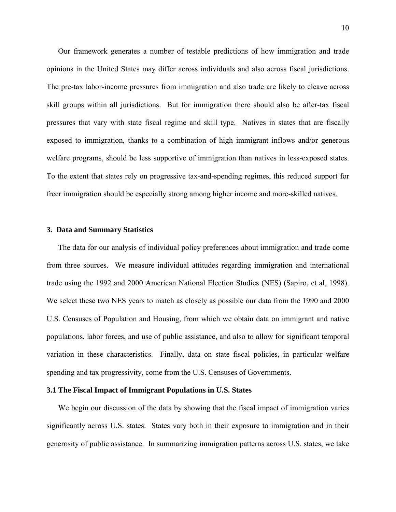Our framework generates a number of testable predictions of how immigration and trade opinions in the United States may differ across individuals and also across fiscal jurisdictions. The pre-tax labor-income pressures from immigration and also trade are likely to cleave across skill groups within all jurisdictions. But for immigration there should also be after-tax fiscal pressures that vary with state fiscal regime and skill type. Natives in states that are fiscally exposed to immigration, thanks to a combination of high immigrant inflows and/or generous welfare programs, should be less supportive of immigration than natives in less-exposed states. To the extent that states rely on progressive tax-and-spending regimes, this reduced support for freer immigration should be especially strong among higher income and more-skilled natives.

#### **3. Data and Summary Statistics**

 The data for our analysis of individual policy preferences about immigration and trade come from three sources. We measure individual attitudes regarding immigration and international trade using the 1992 and 2000 American National Election Studies (NES) (Sapiro, et al, 1998). We select these two NES years to match as closely as possible our data from the 1990 and 2000 U.S. Censuses of Population and Housing, from which we obtain data on immigrant and native populations, labor forces, and use of public assistance, and also to allow for significant temporal variation in these characteristics. Finally, data on state fiscal policies, in particular welfare spending and tax progressivity, come from the U.S. Censuses of Governments.

#### **3.1 The Fiscal Impact of Immigrant Populations in U.S. States**

 We begin our discussion of the data by showing that the fiscal impact of immigration varies significantly across U.S. states. States vary both in their exposure to immigration and in their generosity of public assistance. In summarizing immigration patterns across U.S. states, we take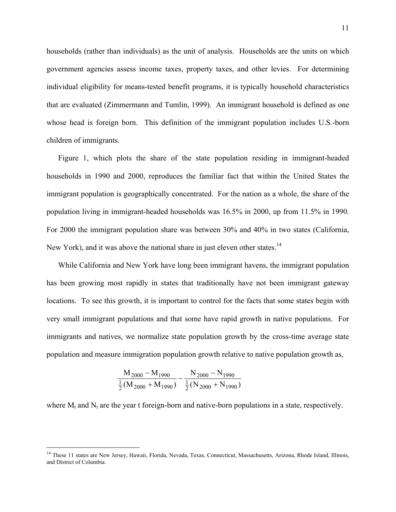households (rather than individuals) as the unit of analysis. Households are the units on which government agencies assess income taxes, property taxes, and other levies. For determining individual eligibility for means-tested benefit programs, it is typically household characteristics that are evaluated (Zimmermann and Tumlin, 1999). An immigrant household is defined as one whose head is foreign born. This definition of the immigrant population includes U.S.-born children of immigrants.

 Figure 1, which plots the share of the state population residing in immigrant-headed households in 1990 and 2000, reproduces the familiar fact that within the United States the immigrant population is geographically concentrated. For the nation as a whole, the share of the population living in immigrant-headed households was 16.5% in 2000, up from 11.5% in 1990. For 2000 the immigrant population share was between 30% and 40% in two states (California, New York), and it was above the national share in just eleven other states.<sup>14</sup>

 While California and New York have long been immigrant havens, the immigrant population has been growing most rapidly in states that traditionally have not been immigrant gateway locations. To see this growth, it is important to control for the facts that some states begin with very small immigrant populations and that some have rapid growth in native populations. For immigrants and natives, we normalize state population growth by the cross-time average state population and measure immigration population growth relative to native population growth as,

$$
\frac{M_{2000} - M_{1990}}{\frac{1}{2}(M_{2000} + M_{1990})} - \frac{N_{2000} - N_{1990}}{\frac{1}{2}(N_{2000} + N_{1990})}
$$

 $\overline{a}$ 

where  $M_t$  and  $N_t$  are the year t foreign-born and native-born populations in a state, respectively.

<sup>&</sup>lt;sup>14</sup> These 11 states are New Jersey, Hawaii, Florida, Nevada, Texas, Connecticut, Massachusetts, Arizona, Rhode Island, Illinois, and District of Columbia.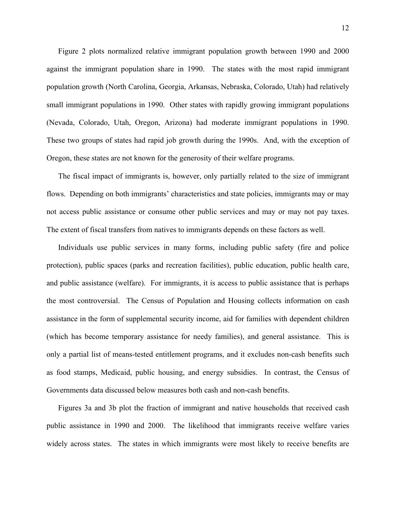Figure 2 plots normalized relative immigrant population growth between 1990 and 2000 against the immigrant population share in 1990. The states with the most rapid immigrant population growth (North Carolina, Georgia, Arkansas, Nebraska, Colorado, Utah) had relatively small immigrant populations in 1990. Other states with rapidly growing immigrant populations (Nevada, Colorado, Utah, Oregon, Arizona) had moderate immigrant populations in 1990. These two groups of states had rapid job growth during the 1990s. And, with the exception of Oregon, these states are not known for the generosity of their welfare programs.

 The fiscal impact of immigrants is, however, only partially related to the size of immigrant flows. Depending on both immigrants' characteristics and state policies, immigrants may or may not access public assistance or consume other public services and may or may not pay taxes. The extent of fiscal transfers from natives to immigrants depends on these factors as well.

 Individuals use public services in many forms, including public safety (fire and police protection), public spaces (parks and recreation facilities), public education, public health care, and public assistance (welfare). For immigrants, it is access to public assistance that is perhaps the most controversial. The Census of Population and Housing collects information on cash assistance in the form of supplemental security income, aid for families with dependent children (which has become temporary assistance for needy families), and general assistance. This is only a partial list of means-tested entitlement programs, and it excludes non-cash benefits such as food stamps, Medicaid, public housing, and energy subsidies. In contrast, the Census of Governments data discussed below measures both cash and non-cash benefits.

 Figures 3a and 3b plot the fraction of immigrant and native households that received cash public assistance in 1990 and 2000. The likelihood that immigrants receive welfare varies widely across states. The states in which immigrants were most likely to receive benefits are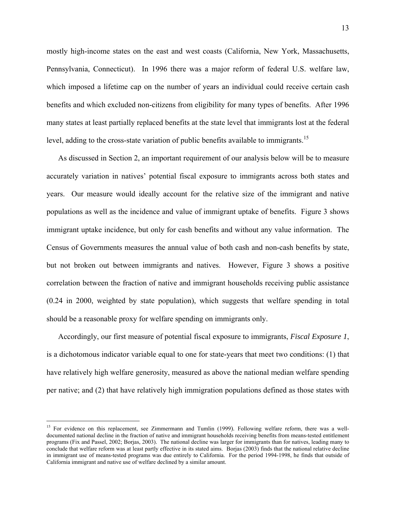mostly high-income states on the east and west coasts (California, New York, Massachusetts, Pennsylvania, Connecticut). In 1996 there was a major reform of federal U.S. welfare law, which imposed a lifetime cap on the number of years an individual could receive certain cash benefits and which excluded non-citizens from eligibility for many types of benefits. After 1996 many states at least partially replaced benefits at the state level that immigrants lost at the federal level, adding to the cross-state variation of public benefits available to immigrants.<sup>15</sup>

 As discussed in Section 2, an important requirement of our analysis below will be to measure accurately variation in natives' potential fiscal exposure to immigrants across both states and years. Our measure would ideally account for the relative size of the immigrant and native populations as well as the incidence and value of immigrant uptake of benefits. Figure 3 shows immigrant uptake incidence, but only for cash benefits and without any value information. The Census of Governments measures the annual value of both cash and non-cash benefits by state, but not broken out between immigrants and natives. However, Figure 3 shows a positive correlation between the fraction of native and immigrant households receiving public assistance (0.24 in 2000, weighted by state population), which suggests that welfare spending in total should be a reasonable proxy for welfare spending on immigrants only.

 Accordingly, our first measure of potential fiscal exposure to immigrants, *Fiscal Exposure 1*, is a dichotomous indicator variable equal to one for state-years that meet two conditions: (1) that have relatively high welfare generosity, measured as above the national median welfare spending per native; and (2) that have relatively high immigration populations defined as those states with

 $\overline{a}$ 

<sup>&</sup>lt;sup>15</sup> For evidence on this replacement, see Zimmermann and Tumlin (1999). Following welfare reform, there was a welldocumented national decline in the fraction of native and immigrant households receiving benefits from means-tested entitlement programs (Fix and Passel, 2002; Borjas, 2003). The national decline was larger for immigrants than for natives, leading many to conclude that welfare reform was at least partly effective in its stated aims. Borjas (2003) finds that the national relative decline in immigrant use of means-tested programs was due entirely to California. For the period 1994-1998, he finds that outside of California immigrant and native use of welfare declined by a similar amount.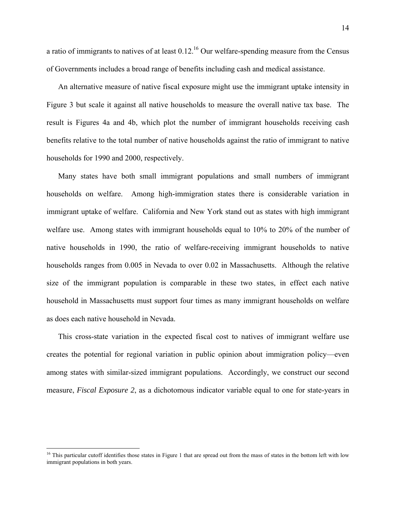a ratio of immigrants to natives of at least  $0.12<sup>16</sup>$  Our welfare-spending measure from the Census of Governments includes a broad range of benefits including cash and medical assistance.

 An alternative measure of native fiscal exposure might use the immigrant uptake intensity in Figure 3 but scale it against all native households to measure the overall native tax base. The result is Figures 4a and 4b, which plot the number of immigrant households receiving cash benefits relative to the total number of native households against the ratio of immigrant to native households for 1990 and 2000, respectively.

 Many states have both small immigrant populations and small numbers of immigrant households on welfare. Among high-immigration states there is considerable variation in immigrant uptake of welfare. California and New York stand out as states with high immigrant welfare use. Among states with immigrant households equal to 10% to 20% of the number of native households in 1990, the ratio of welfare-receiving immigrant households to native households ranges from 0.005 in Nevada to over 0.02 in Massachusetts. Although the relative size of the immigrant population is comparable in these two states, in effect each native household in Massachusetts must support four times as many immigrant households on welfare as does each native household in Nevada.

 This cross-state variation in the expected fiscal cost to natives of immigrant welfare use creates the potential for regional variation in public opinion about immigration policy—even among states with similar-sized immigrant populations. Accordingly, we construct our second measure, *Fiscal Exposure 2*, as a dichotomous indicator variable equal to one for state-years in

<sup>&</sup>lt;sup>16</sup> This particular cutoff identifies those states in Figure 1 that are spread out from the mass of states in the bottom left with low immigrant populations in both years.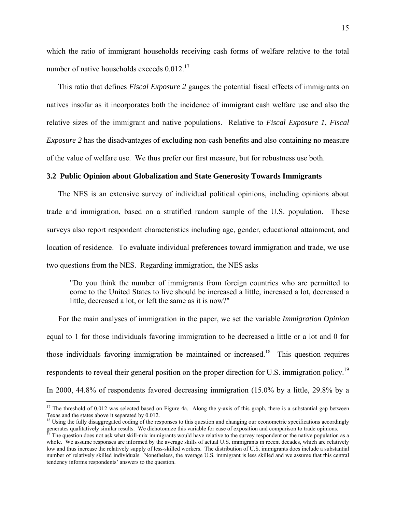which the ratio of immigrant households receiving cash forms of welfare relative to the total number of native households exceeds  $0.012$ .<sup>17</sup>

 This ratio that defines *Fiscal Exposure 2* gauges the potential fiscal effects of immigrants on natives insofar as it incorporates both the incidence of immigrant cash welfare use and also the relative sizes of the immigrant and native populations. Relative to *Fiscal Exposure 1*, *Fiscal Exposure 2* has the disadvantages of excluding non-cash benefits and also containing no measure of the value of welfare use. We thus prefer our first measure, but for robustness use both.

#### **3.2 Public Opinion about Globalization and State Generosity Towards Immigrants**

 The NES is an extensive survey of individual political opinions, including opinions about trade and immigration, based on a stratified random sample of the U.S. population. These surveys also report respondent characteristics including age, gender, educational attainment, and location of residence. To evaluate individual preferences toward immigration and trade, we use two questions from the NES. Regarding immigration, the NES asks

"Do you think the number of immigrants from foreign countries who are permitted to come to the United States to live should be increased a little, increased a lot, decreased a little, decreased a lot, or left the same as it is now?"

 For the main analyses of immigration in the paper, we set the variable *Immigration Opinion*  equal to 1 for those individuals favoring immigration to be decreased a little or a lot and 0 for those individuals favoring immigration be maintained or increased.<sup>18</sup> This question requires respondents to reveal their general position on the proper direction for U.S. immigration policy.<sup>19</sup> In 2000, 44.8% of respondents favored decreasing immigration (15.0% by a little, 29.8% by a

 $\overline{a}$ 

 $17$  The threshold of 0.012 was selected based on Figure 4a. Along the y-axis of this graph, there is a substantial gap between Texas and the states above it separated by 0.012.<br><sup>18</sup> Using the fully disaggregated coding of the responses to this question and changing our econometric specifications accordingly

generates qualitatively similar results. We dichotomize this variable for ease of exposition and comparison to trade opinions.<br><sup>19</sup> The question does not ask what skill-mix immigrants would have relative to the survey resp

whole. We assume responses are informed by the average skills of actual U.S. immigrants in recent decades, which are relatively low and thus increase the relatively supply of less-skilled workers. The distribution of U.S. immigrants does include a substantial number of relatively skilled individuals. Nonetheless, the average U.S. immigrant is less skilled and we assume that this central tendency informs respondents' answers to the question.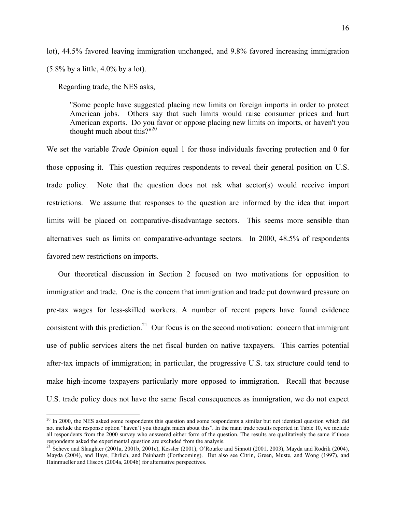lot), 44.5% favored leaving immigration unchanged, and 9.8% favored increasing immigration  $(5.8\%$  by a little,  $4.0\%$  by a lot).

Regarding trade, the NES asks,

 $\overline{a}$ 

"Some people have suggested placing new limits on foreign imports in order to protect American jobs. Others say that such limits would raise consumer prices and hurt American exports. Do you favor or oppose placing new limits on imports, or haven't you thought much about this?" $2^{0}$ 

We set the variable *Trade Opinion* equal 1 for those individuals favoring protection and 0 for those opposing it. This question requires respondents to reveal their general position on U.S. trade policy. Note that the question does not ask what sector(s) would receive import restrictions. We assume that responses to the question are informed by the idea that import limits will be placed on comparative-disadvantage sectors. This seems more sensible than alternatives such as limits on comparative-advantage sectors. In 2000, 48.5% of respondents favored new restrictions on imports.

 Our theoretical discussion in Section 2 focused on two motivations for opposition to immigration and trade. One is the concern that immigration and trade put downward pressure on pre-tax wages for less-skilled workers. A number of recent papers have found evidence consistent with this prediction.<sup>21</sup> Our focus is on the second motivation: concern that immigrant use of public services alters the net fiscal burden on native taxpayers. This carries potential after-tax impacts of immigration; in particular, the progressive U.S. tax structure could tend to make high-income taxpayers particularly more opposed to immigration. Recall that because U.S. trade policy does not have the same fiscal consequences as immigration, we do not expect

<sup>&</sup>lt;sup>20</sup> In 2000, the NES asked some respondents this question and some respondents a similar but not identical question which did not include the response option "haven't you thought much about this". In the main trade results reported in Table 10, we include all respondents from the 2000 survey who answered either form of the question. The results are qualitatively the same if those respondents asked the experimental question are excluded from the analysis.<br><sup>21</sup> Scheve and Slaughter (2001a, 2001b, 2001c), Kessler (2001), O'Rourke and Sinnott (2001, 2003), Mayda and Rodrik (2004),

Mayda (2004), and Hays, Ehrlich, and Peinhardt (Forthcoming). But also see Citrin, Green, Muste, and Wong (1997), and Hainmueller and Hiscox (2004a, 2004b) for alternative perspectives.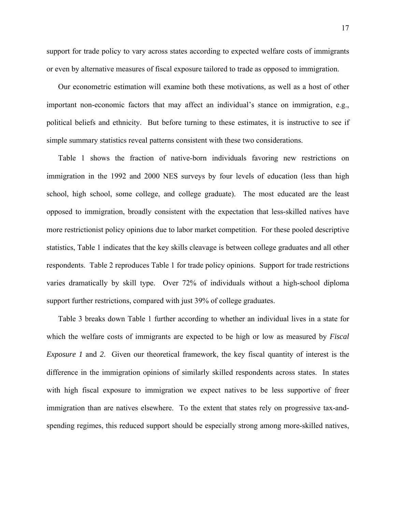support for trade policy to vary across states according to expected welfare costs of immigrants or even by alternative measures of fiscal exposure tailored to trade as opposed to immigration.

 Our econometric estimation will examine both these motivations, as well as a host of other important non-economic factors that may affect an individual's stance on immigration, e.g., political beliefs and ethnicity. But before turning to these estimates, it is instructive to see if simple summary statistics reveal patterns consistent with these two considerations.

 Table 1 shows the fraction of native-born individuals favoring new restrictions on immigration in the 1992 and 2000 NES surveys by four levels of education (less than high school, high school, some college, and college graduate). The most educated are the least opposed to immigration, broadly consistent with the expectation that less-skilled natives have more restrictionist policy opinions due to labor market competition. For these pooled descriptive statistics, Table 1 indicates that the key skills cleavage is between college graduates and all other respondents. Table 2 reproduces Table 1 for trade policy opinions. Support for trade restrictions varies dramatically by skill type. Over 72% of individuals without a high-school diploma support further restrictions, compared with just 39% of college graduates.

 Table 3 breaks down Table 1 further according to whether an individual lives in a state for which the welfare costs of immigrants are expected to be high or low as measured by *Fiscal Exposure 1* and *2*. Given our theoretical framework, the key fiscal quantity of interest is the difference in the immigration opinions of similarly skilled respondents across states. In states with high fiscal exposure to immigration we expect natives to be less supportive of freer immigration than are natives elsewhere. To the extent that states rely on progressive tax-andspending regimes, this reduced support should be especially strong among more-skilled natives,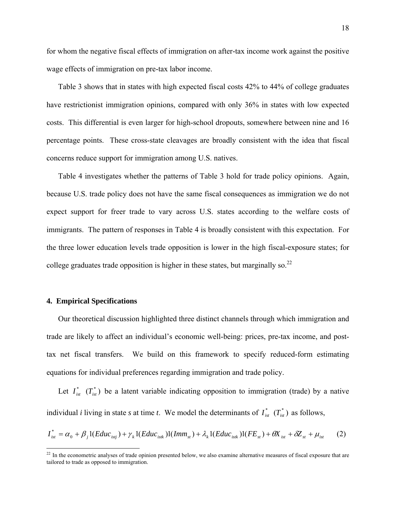for whom the negative fiscal effects of immigration on after*-*tax income work against the positive wage effects of immigration on pre-tax labor income.

 Table 3 shows that in states with high expected fiscal costs 42% to 44% of college graduates have restrictionist immigration opinions, compared with only 36% in states with low expected costs. This differential is even larger for high-school dropouts, somewhere between nine and 16 percentage points. These cross-state cleavages are broadly consistent with the idea that fiscal concerns reduce support for immigration among U.S. natives.

 Table 4 investigates whether the patterns of Table 3 hold for trade policy opinions. Again, because U.S. trade policy does not have the same fiscal consequences as immigration we do not expect support for freer trade to vary across U.S. states according to the welfare costs of immigrants. The pattern of responses in Table 4 is broadly consistent with this expectation. For the three lower education levels trade opposition is lower in the high fiscal-exposure states; for college graduates trade opposition is higher in these states, but marginally so.<sup>22</sup>

#### **4. Empirical Specifications**

 $\overline{a}$ 

 Our theoretical discussion highlighted three distinct channels through which immigration and trade are likely to affect an individual's economic well-being: prices, pre-tax income, and posttax net fiscal transfers. We build on this framework to specify reduced-form estimating equations for individual preferences regarding immigration and trade policy.

Let  $I_{ist}^*$   $(T_{ist}^*)$  be a latent variable indicating opposition to immigration (trade) by a native individual *i* living in state *s* at time *t*. We model the determinants of  $I_{\text{int}}^{*}(T_{\text{int}}^{*})$  as follows,

$$
I_{ist}^{*} = \alpha_{0} + \beta_{j} 1 (Educ_{istj}) + \gamma_{k} 1 (Educ_{istk}) 1 (Imm_{st}) + \lambda_{k} 1 (Educ_{istk}) 1 (FE_{st}) + \theta X_{ist} + \delta Z_{st} + \mu_{ist}
$$
 (2)

 $22$  In the econometric analyses of trade opinion presented below, we also examine alternative measures of fiscal exposure that are tailored to trade as opposed to immigration.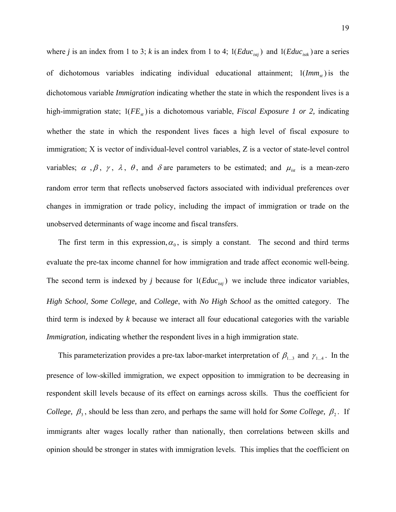where *j* is an index from 1 to 3; *k* is an index from 1 to 4;  $1(Educ<sub>ist</sub>)$  and  $1(Educ<sub>ist</sub>)$  are a series of dichotomous variables indicating individual educational attainment;  $1(Imm_s)$  is the dichotomous variable *Immigration* indicating whether the state in which the respondent lives is a high-immigration state;  $1(FE<sub>st</sub>)$  is a dichotomous variable, *Fiscal Exposure 1 or 2*, indicating whether the state in which the respondent lives faces a high level of fiscal exposure to immigration; X is vector of individual-level control variables, Z is a vector of state-level control variables;  $\alpha$ ,  $\beta$ ,  $\gamma$ ,  $\lambda$ ,  $\theta$ , and  $\delta$  are parameters to be estimated; and  $\mu_{\text{int}}$  is a mean-zero random error term that reflects unobserved factors associated with individual preferences over changes in immigration or trade policy, including the impact of immigration or trade on the unobserved determinants of wage income and fiscal transfers.

The first term in this expression,  $\alpha_0$ , is simply a constant. The second and third terms evaluate the pre-tax income channel for how immigration and trade affect economic well-being. The second term is indexed by *j* because for  $1(Educ<sub>isti</sub>)$  we include three indicator variables, *High School, Some College,* and *College*, with *No High School* as the omitted category. The third term is indexed by *k* because we interact all four educational categories with the variable *Immigration*, indicating whether the respondent lives in a high immigration state.

This parameterization provides a pre-tax labor-market interpretation of  $\beta_{1...3}$  and  $\gamma_{1...4}$ . In the presence of low-skilled immigration, we expect opposition to immigration to be decreasing in respondent skill levels because of its effect on earnings across skills. Thus the coefficient for *College,*  $\beta_3$ , should be less than zero, and perhaps the same will hold for *Some College,*  $\beta_2$ . If immigrants alter wages locally rather than nationally, then correlations between skills and opinion should be stronger in states with immigration levels. This implies that the coefficient on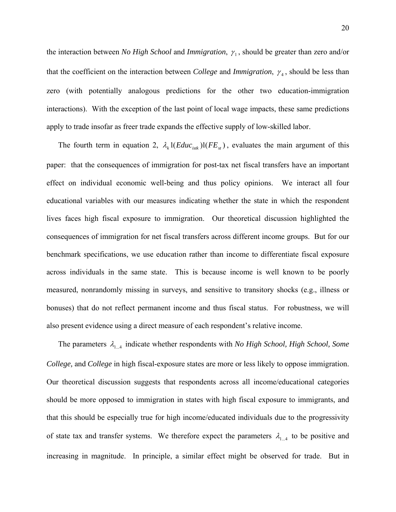the interaction between *No High School* and *Immigration*, γ<sub>1</sub>, should be greater than zero and/or that the coefficient on the interaction between *College* and *Immigration*,  $\gamma_4$ , should be less than zero (with potentially analogous predictions for the other two education-immigration interactions). With the exception of the last point of local wage impacts, these same predictions apply to trade insofar as freer trade expands the effective supply of low-skilled labor.

The fourth term in equation 2,  $\lambda_k 1(Educ_{isk})1(FE_{st})$ , evaluates the main argument of this paper: that the consequences of immigration for post-tax net fiscal transfers have an important effect on individual economic well-being and thus policy opinions. We interact all four educational variables with our measures indicating whether the state in which the respondent lives faces high fiscal exposure to immigration. Our theoretical discussion highlighted the consequences of immigration for net fiscal transfers across different income groups. But for our benchmark specifications, we use education rather than income to differentiate fiscal exposure across individuals in the same state. This is because income is well known to be poorly measured, nonrandomly missing in surveys, and sensitive to transitory shocks (e.g., illness or bonuses) that do not reflect permanent income and thus fiscal status. For robustness, we will also present evidence using a direct measure of each respondent's relative income.

The parameters  $\lambda_{1,4}$  indicate whether respondents with *No High School, High School, Some College,* and *College* in high fiscal-exposure states are more or less likely to oppose immigration. Our theoretical discussion suggests that respondents across all income/educational categories should be more opposed to immigration in states with high fiscal exposure to immigrants, and that this should be especially true for high income/educated individuals due to the progressivity of state tax and transfer systems. We therefore expect the parameters  $\lambda_{1...4}$  to be positive and increasing in magnitude. In principle, a similar effect might be observed for trade. But in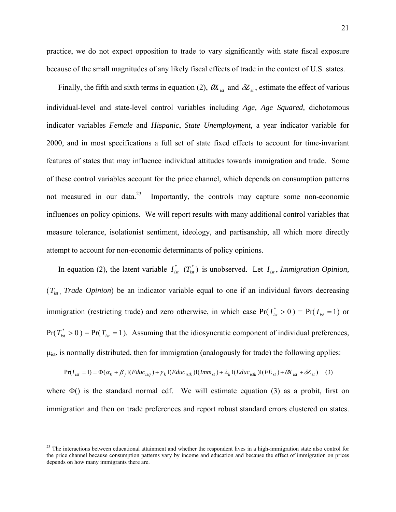practice, we do not expect opposition to trade to vary significantly with state fiscal exposure because of the small magnitudes of any likely fiscal effects of trade in the context of U.S. states.

Finally, the fifth and sixth terms in equation (2),  $\theta X_{ist}$  and  $\delta Z_{st}$ , estimate the effect of various individual-level and state-level control variables including *Age, Age Squared,* dichotomous indicator variables *Female* and *Hispanic*, *State Unemployment,* a year indicator variable for 2000, and in most specifications a full set of state fixed effects to account for time-invariant features of states that may influence individual attitudes towards immigration and trade. Some of these control variables account for the price channel, which depends on consumption patterns not measured in our data. $23$  Importantly, the controls may capture some non-economic influences on policy opinions. We will report results with many additional control variables that measure tolerance, isolationist sentiment, ideology, and partisanship, all which more directly attempt to account for non-economic determinants of policy opinions.

In equation (2), the latent variable  $I_{\text{int}}^*$   $(T_{\text{int}}^*)$  is unobserved. Let  $I_{\text{int}}$ , *Immigration Opinion*, (*Tist* , *Trade Opinion*) be an indicator variable equal to one if an individual favors decreasing immigration (restricting trade) and zero otherwise, in which case  $Pr(I_{i}^{*} > 0) = Pr(I_{i} = 1)$  or  $Pr(T_{\text{int}}^* > 0) = Pr(T_{\text{int}} = 1)$ . Assuming that the idiosyncratic component of individual preferences,  $\mu_{\text{ist}}$ , is normally distributed, then for immigration (analogously for trade) the following applies:

$$
Pr(I_{ist} = 1) = \Phi(\alpha_0 + \beta_j I(Educ_{istj}) + \gamma_k I(Educ_{istk})I(Imm_{st}) + \lambda_k I(Educ_{istk})I(FE_{st}) + \theta X_{ist} + \delta Z_{st})
$$
 (3)

where  $\Phi$ () is the standard normal cdf. We will estimate equation (3) as a probit, first on immigration and then on trade preferences and report robust standard errors clustered on states.

<u>.</u>

 $2<sup>23</sup>$  The interactions between educational attainment and whether the respondent lives in a high-immigration state also control for the price channel because consumption patterns vary by income and education and because the effect of immigration on prices depends on how many immigrants there are.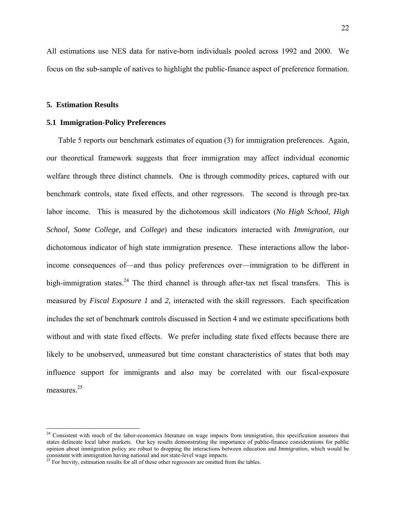All estimations use NES data for native-born individuals pooled across 1992 and 2000. We focus on the sub-sample of natives to highlight the public-finance aspect of preference formation.

#### **5. Estimation Results**

1

#### **5.1 Immigration-Policy Preferences**

 Table 5 reports our benchmark estimates of equation (3) for immigration preferences. Again, our theoretical framework suggests that freer immigration may affect individual economic welfare through three distinct channels. One is through commodity prices, captured with our benchmark controls, state fixed effects, and other regressors. The second is through pre-tax labor income. This is measured by the dichotomous skill indicators (*No High School, High School, Some College,* and *College*) and these indicators interacted with *Immigration*, our dichotomous indicator of high state immigration presence. These interactions allow the laborincome consequences of—and thus policy preferences over—immigration to be different in high-immigration states.<sup>24</sup> The third channel is through after-tax net fiscal transfers. This is measured by *Fiscal Exposure 1* and *2,* interacted with the skill regressors. Each specification includes the set of benchmark controls discussed in Section 4 and we estimate specifications both without and with state fixed effects. We prefer including state fixed effects because there are likely to be unobserved, unmeasured but time constant characteristics of states that both may influence support for immigrants and also may be correlated with our fiscal-exposure measures.<sup>25</sup>

<sup>&</sup>lt;sup>24</sup> Consistent with much of the labor-economics literature on wage impacts from immigration, this specification assumes that states delineate local labor markets. Our key results demonstrating the importance of public-finance considerations for public opinion about immigration policy are robust to dropping the interactions between education and *Immigration*, which would be consistent with immigration having national and not state-level wage impacts.<br><sup>25</sup> For brevity, estimation results for all of these other regressors are omitted from the tables.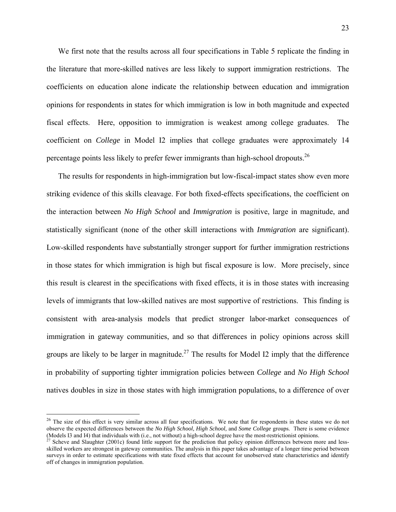We first note that the results across all four specifications in Table 5 replicate the finding in the literature that more-skilled natives are less likely to support immigration restrictions. The coefficients on education alone indicate the relationship between education and immigration opinions for respondents in states for which immigration is low in both magnitude and expected fiscal effects. Here, opposition to immigration is weakest among college graduates. The coefficient on *College* in Model I2 implies that college graduates were approximately 14 percentage points less likely to prefer fewer immigrants than high-school dropouts.26

 The results for respondents in high-immigration but low-fiscal-impact states show even more striking evidence of this skills cleavage. For both fixed-effects specifications, the coefficient on the interaction between *No High School* and *Immigration* is positive, large in magnitude, and statistically significant (none of the other skill interactions with *Immigration* are significant). Low-skilled respondents have substantially stronger support for further immigration restrictions in those states for which immigration is high but fiscal exposure is low. More precisely, since this result is clearest in the specifications with fixed effects, it is in those states with increasing levels of immigrants that low-skilled natives are most supportive of restrictions. This finding is consistent with area-analysis models that predict stronger labor-market consequences of immigration in gateway communities, and so that differences in policy opinions across skill groups are likely to be larger in magnitude.<sup>27</sup> The results for Model I2 imply that the difference in probability of supporting tighter immigration policies between *College* and *No High School*  natives doubles in size in those states with high immigration populations, to a difference of over

<sup>&</sup>lt;sup>26</sup> The size of this effect is very similar across all four specifications. We note that for respondents in these states we do not observe the expected differences between the *No High School, High School,* and *Some College* groups. There is some evidence (Models I3 and I4) that individuals with (i.e., not without) a high-school degree have the most-restrictionist opinions.<br><sup>27</sup> Scheve and Slaughter (2001c) found little support for the prediction that policy opinion differ

skilled workers are strongest in gateway communities. The analysis in this paper takes advantage of a longer time period between surveys in order to estimate specifications with state fixed effects that account for unobserved state characteristics and identify off of changes in immigration population.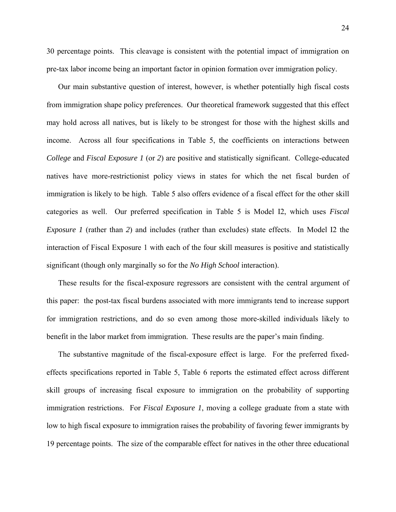30 percentage points. This cleavage is consistent with the potential impact of immigration on pre-tax labor income being an important factor in opinion formation over immigration policy.

 Our main substantive question of interest, however, is whether potentially high fiscal costs from immigration shape policy preferences. Our theoretical framework suggested that this effect may hold across all natives, but is likely to be strongest for those with the highest skills and income. Across all four specifications in Table 5, the coefficients on interactions between *College* and *Fiscal Exposure 1* (or *2*) are positive and statistically significant. College-educated natives have more-restrictionist policy views in states for which the net fiscal burden of immigration is likely to be high. Table 5 also offers evidence of a fiscal effect for the other skill categories as well. Our preferred specification in Table 5 is Model I2, which uses *Fiscal Exposure 1* (rather than *2*) and includes (rather than excludes) state effects. In Model I2 the interaction of Fiscal Exposure 1 with each of the four skill measures is positive and statistically significant (though only marginally so for the *No High School* interaction).

 These results for the fiscal-exposure regressors are consistent with the central argument of this paper: the post-tax fiscal burdens associated with more immigrants tend to increase support for immigration restrictions, and do so even among those more-skilled individuals likely to benefit in the labor market from immigration. These results are the paper's main finding.

 The substantive magnitude of the fiscal-exposure effect is large. For the preferred fixedeffects specifications reported in Table 5, Table 6 reports the estimated effect across different skill groups of increasing fiscal exposure to immigration on the probability of supporting immigration restrictions. For *Fiscal Exposure 1*, moving a college graduate from a state with low to high fiscal exposure to immigration raises the probability of favoring fewer immigrants by 19 percentage points. The size of the comparable effect for natives in the other three educational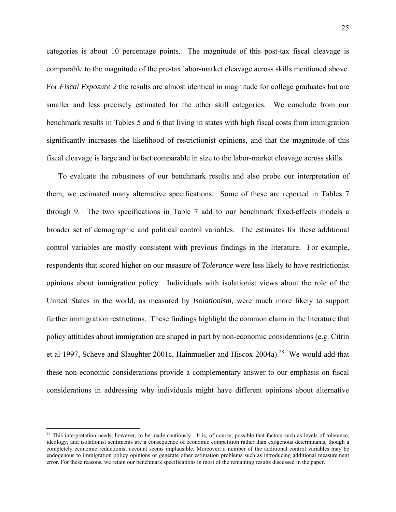categories is about 10 percentage points. The magnitude of this post-tax fiscal cleavage is comparable to the magnitude of the pre-tax labor-market cleavage across skills mentioned above. For *Fiscal Exposure 2* the results are almost identical in magnitude for college graduates but are smaller and less precisely estimated for the other skill categories. We conclude from our benchmark results in Tables 5 and 6 that living in states with high fiscal costs from immigration significantly increases the likelihood of restrictionist opinions, and that the magnitude of this fiscal cleavage is large and in fact comparable in size to the labor-market cleavage across skills.

 To evaluate the robustness of our benchmark results and also probe our interpretation of them, we estimated many alternative specifications. Some of these are reported in Tables 7 through 9. The two specifications in Table 7 add to our benchmark fixed-effects models a broader set of demographic and political control variables. The estimates for these additional control variables are mostly consistent with previous findings in the literature. For example, respondents that scored higher on our measure of *Tolerance* were less likely to have restrictionist opinions about immigration policy. Individuals with isolationist views about the role of the United States in the world, as measured by *Isolationism,* were much more likely to support further immigration restrictions. These findings highlight the common claim in the literature that policy attitudes about immigration are shaped in part by non-economic considerations (e.g. Citrin et al 1997, Scheve and Slaughter 2001c, Hainmueller and Hiscox 2004a).<sup>28</sup> We would add that these non-economic considerations provide a complementary answer to our emphasis on fiscal considerations in addressing why individuals might have different opinions about alternative

 $28$  This interpretation needs, however, to be made cautiously. It is, of course, possible that factors such as levels of tolerance, ideology, and isolationist sentiments are a consequence of economic competition rather than exogenous determinants, though a completely economic reductionist account seems implausible. Moreover, a number of the additional control variables may be endogenous to immigration policy opinions or generate other estimation problems such as introducing additional measurement error. For these reasons, we retain our benchmark specifications in most of the remaining results discussed in the paper.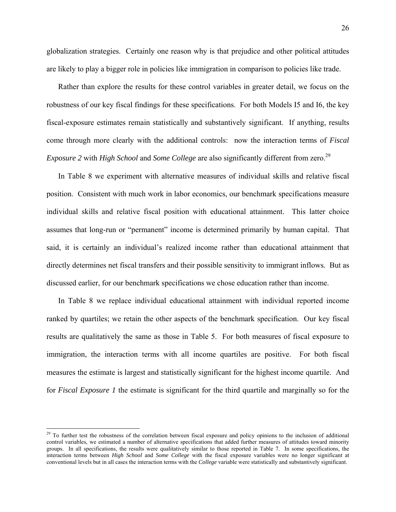globalization strategies. Certainly one reason why is that prejudice and other political attitudes are likely to play a bigger role in policies like immigration in comparison to policies like trade.

 Rather than explore the results for these control variables in greater detail, we focus on the robustness of our key fiscal findings for these specifications. For both Models I5 and I6, the key fiscal-exposure estimates remain statistically and substantively significant. If anything, results come through more clearly with the additional controls: now the interaction terms of *Fiscal Exposure 2 with <i>High School* and *Some College* are also significantly different from zero.<sup>29</sup>

 In Table 8 we experiment with alternative measures of individual skills and relative fiscal position. Consistent with much work in labor economics, our benchmark specifications measure individual skills and relative fiscal position with educational attainment. This latter choice assumes that long-run or "permanent" income is determined primarily by human capital. That said, it is certainly an individual's realized income rather than educational attainment that directly determines net fiscal transfers and their possible sensitivity to immigrant inflows. But as discussed earlier, for our benchmark specifications we chose education rather than income.

 In Table 8 we replace individual educational attainment with individual reported income ranked by quartiles; we retain the other aspects of the benchmark specification. Our key fiscal results are qualitatively the same as those in Table 5. For both measures of fiscal exposure to immigration, the interaction terms with all income quartiles are positive. For both fiscal measures the estimate is largest and statistically significant for the highest income quartile. And for *Fiscal Exposure 1* the estimate is significant for the third quartile and marginally so for the

<sup>&</sup>lt;sup>29</sup> To further test the robustness of the correlation between fiscal exposure and policy opinions to the inclusion of additional control variables, we estimated a number of alternative specifications that added further measures of attitudes toward minority groups. In all specifications, the results were qualitatively similar to those reported in Table 7. In some specifications, the interaction terms between *High School* and *Some College* with the fiscal exposure variables were no longer significant at conventional levels but in all cases the interaction terms with the *College* variable were statistically and substantively significant.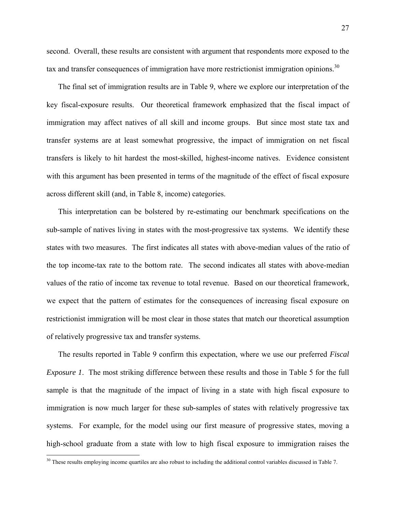27

second. Overall, these results are consistent with argument that respondents more exposed to the tax and transfer consequences of immigration have more restrictionist immigration opinions.<sup>30</sup>

 The final set of immigration results are in Table 9, where we explore our interpretation of the key fiscal-exposure results. Our theoretical framework emphasized that the fiscal impact of immigration may affect natives of all skill and income groups. But since most state tax and transfer systems are at least somewhat progressive, the impact of immigration on net fiscal transfers is likely to hit hardest the most-skilled, highest-income natives. Evidence consistent with this argument has been presented in terms of the magnitude of the effect of fiscal exposure across different skill (and, in Table 8, income) categories.

 This interpretation can be bolstered by re-estimating our benchmark specifications on the sub-sample of natives living in states with the most-progressive tax systems. We identify these states with two measures. The first indicates all states with above-median values of the ratio of the top income-tax rate to the bottom rate. The second indicates all states with above-median values of the ratio of income tax revenue to total revenue. Based on our theoretical framework, we expect that the pattern of estimates for the consequences of increasing fiscal exposure on restrictionist immigration will be most clear in those states that match our theoretical assumption of relatively progressive tax and transfer systems.

 The results reported in Table 9 confirm this expectation, where we use our preferred *Fiscal Exposure 1*. The most striking difference between these results and those in Table 5 for the full sample is that the magnitude of the impact of living in a state with high fiscal exposure to immigration is now much larger for these sub-samples of states with relatively progressive tax systems. For example, for the model using our first measure of progressive states, moving a high-school graduate from a state with low to high fiscal exposure to immigration raises the

 $\overline{a}$ 

 $30$  These results employing income quartiles are also robust to including the additional control variables discussed in Table 7.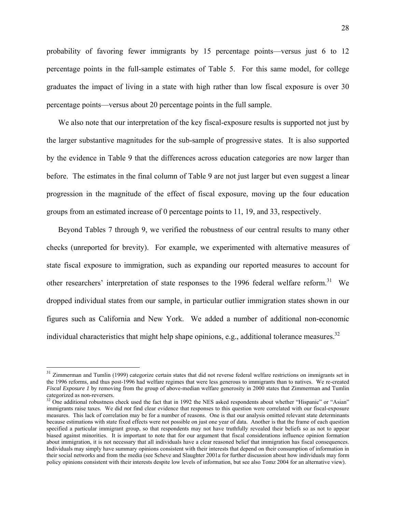probability of favoring fewer immigrants by 15 percentage points—versus just 6 to 12 percentage points in the full-sample estimates of Table 5. For this same model, for college graduates the impact of living in a state with high rather than low fiscal exposure is over 30 percentage points—versus about 20 percentage points in the full sample.

 We also note that our interpretation of the key fiscal-exposure results is supported not just by the larger substantive magnitudes for the sub-sample of progressive states. It is also supported by the evidence in Table 9 that the differences across education categories are now larger than before. The estimates in the final column of Table 9 are not just larger but even suggest a linear progression in the magnitude of the effect of fiscal exposure, moving up the four education groups from an estimated increase of 0 percentage points to 11, 19, and 33, respectively.

 Beyond Tables 7 through 9, we verified the robustness of our central results to many other checks (unreported for brevity). For example, we experimented with alternative measures of state fiscal exposure to immigration, such as expanding our reported measures to account for other researchers' interpretation of state responses to the 1996 federal welfare reform.<sup>31</sup> We dropped individual states from our sample, in particular outlier immigration states shown in our figures such as California and New York. We added a number of additional non-economic individual characteristics that might help shape opinions, e.g., additional tolerance measures.<sup>32</sup>

 $\overline{a}$ 

<sup>&</sup>lt;sup>31</sup> Zimmerman and Tumlin (1999) categorize certain states that did not reverse federal welfare restrictions on immigrants set in the 1996 reforms, and thus post-1996 had welfare regimes that were less generous to immigrants than to natives. We re-created *Fiscal Exposure 1* by removing from the group of above-median welfare generosity in 2000 states that Zimmerman and Tumlin categorized as non-reversers.

<sup>&</sup>lt;sup>32</sup> One additional robustness check used the fact that in 1992 the NES asked respondents about whether "Hispanic" or "Asian" immigrants raise taxes. We did *not* find clear evidence that responses to this question were correlated with our fiscal-exposure measures. This lack of correlation may be for a number of reasons. One is that our analysis omitted relevant state determinants because estimations with state fixed effects were not possible on just one year of data. Another is that the frame of each question specified a particular immigrant group, so that respondents may not have truthfully revealed their beliefs so as not to appear biased against minorities. It is important to note that for our argument that fiscal considerations influence opinion formation about immigration, it is not necessary that all individuals have a clear reasoned belief that immigration has fiscal consequences. Individuals may simply have summary opinions consistent with their interests that depend on their consumption of information in their social networks and from the media (see Scheve and Slaughter 2001a for further discussion about how individuals may form policy opinions consistent with their interests despite low levels of information, but see also Tomz 2004 for an alternative view).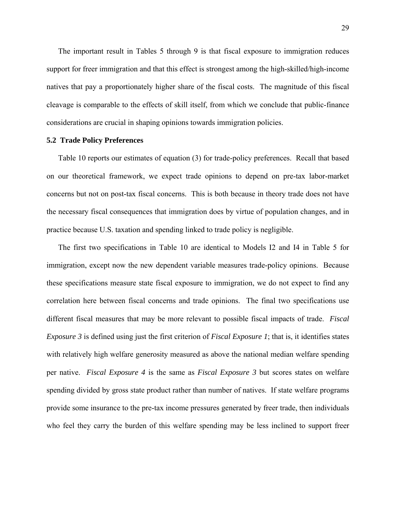The important result in Tables 5 through 9 is that fiscal exposure to immigration reduces support for freer immigration and that this effect is strongest among the high-skilled/high-income natives that pay a proportionately higher share of the fiscal costs. The magnitude of this fiscal cleavage is comparable to the effects of skill itself, from which we conclude that public-finance considerations are crucial in shaping opinions towards immigration policies.

#### **5.2 Trade Policy Preferences**

 Table 10 reports our estimates of equation (3) for trade-policy preferences. Recall that based on our theoretical framework, we expect trade opinions to depend on pre-tax labor-market concerns but not on post-tax fiscal concerns. This is both because in theory trade does not have the necessary fiscal consequences that immigration does by virtue of population changes, and in practice because U.S. taxation and spending linked to trade policy is negligible.

 The first two specifications in Table 10 are identical to Models I2 and I4 in Table 5 for immigration, except now the new dependent variable measures trade-policy opinions. Because these specifications measure state fiscal exposure to immigration, we do not expect to find any correlation here between fiscal concerns and trade opinions. The final two specifications use different fiscal measures that may be more relevant to possible fiscal impacts of trade. *Fiscal Exposure 3* is defined using just the first criterion of *Fiscal Exposure 1*; that is, it identifies states with relatively high welfare generosity measured as above the national median welfare spending per native. *Fiscal Exposure 4* is the same as *Fiscal Exposure 3* but scores states on welfare spending divided by gross state product rather than number of natives. If state welfare programs provide some insurance to the pre-tax income pressures generated by freer trade, then individuals who feel they carry the burden of this welfare spending may be less inclined to support freer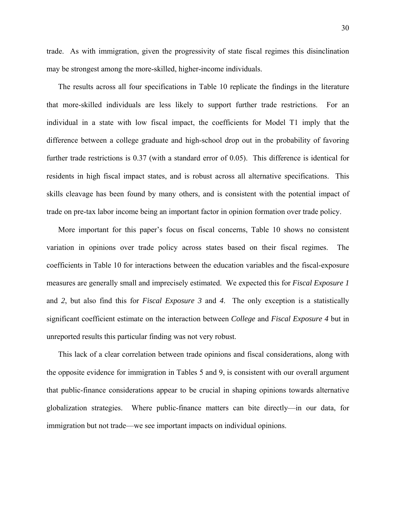trade. As with immigration, given the progressivity of state fiscal regimes this disinclination may be strongest among the more-skilled, higher-income individuals.

 The results across all four specifications in Table 10 replicate the findings in the literature that more-skilled individuals are less likely to support further trade restrictions. For an individual in a state with low fiscal impact, the coefficients for Model T1 imply that the difference between a college graduate and high-school drop out in the probability of favoring further trade restrictions is 0.37 (with a standard error of 0.05). This difference is identical for residents in high fiscal impact states, and is robust across all alternative specifications. This skills cleavage has been found by many others, and is consistent with the potential impact of trade on pre-tax labor income being an important factor in opinion formation over trade policy.

 More important for this paper's focus on fiscal concerns, Table 10 shows no consistent variation in opinions over trade policy across states based on their fiscal regimes. The coefficients in Table 10 for interactions between the education variables and the fiscal-exposure measures are generally small and imprecisely estimated. We expected this for *Fiscal Exposure 1* and *2*, but also find this for *Fiscal Exposure 3* and *4*. The only exception is a statistically significant coefficient estimate on the interaction between *College* and *Fiscal Exposure 4* but in unreported results this particular finding was not very robust.

 This lack of a clear correlation between trade opinions and fiscal considerations, along with the opposite evidence for immigration in Tables 5 and 9, is consistent with our overall argument that public-finance considerations appear to be crucial in shaping opinions towards alternative globalization strategies. Where public-finance matters can bite directly—in our data, for immigration but not trade—we see important impacts on individual opinions.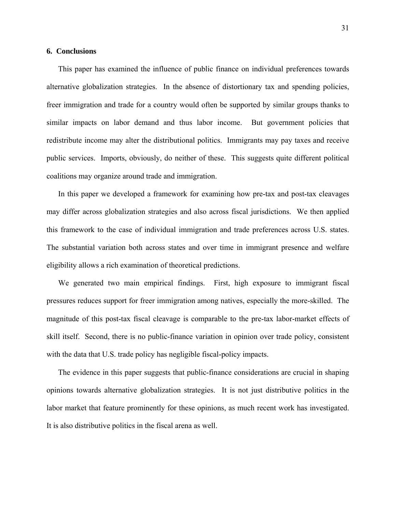#### **6. Conclusions**

 This paper has examined the influence of public finance on individual preferences towards alternative globalization strategies. In the absence of distortionary tax and spending policies, freer immigration and trade for a country would often be supported by similar groups thanks to similar impacts on labor demand and thus labor income. But government policies that redistribute income may alter the distributional politics. Immigrants may pay taxes and receive public services. Imports, obviously, do neither of these. This suggests quite different political coalitions may organize around trade and immigration.

 In this paper we developed a framework for examining how pre-tax and post-tax cleavages may differ across globalization strategies and also across fiscal jurisdictions. We then applied this framework to the case of individual immigration and trade preferences across U.S. states. The substantial variation both across states and over time in immigrant presence and welfare eligibility allows a rich examination of theoretical predictions.

 We generated two main empirical findings. First, high exposure to immigrant fiscal pressures reduces support for freer immigration among natives, especially the more-skilled. The magnitude of this post-tax fiscal cleavage is comparable to the pre-tax labor-market effects of skill itself. Second, there is no public-finance variation in opinion over trade policy, consistent with the data that U.S. trade policy has negligible fiscal-policy impacts.

 The evidence in this paper suggests that public-finance considerations are crucial in shaping opinions towards alternative globalization strategies. It is not just distributive politics in the labor market that feature prominently for these opinions, as much recent work has investigated. It is also distributive politics in the fiscal arena as well.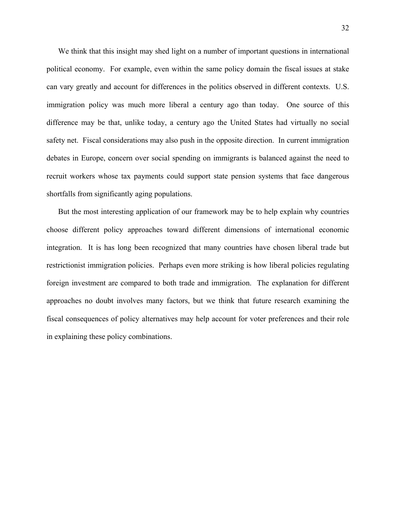We think that this insight may shed light on a number of important questions in international political economy. For example, even within the same policy domain the fiscal issues at stake can vary greatly and account for differences in the politics observed in different contexts. U.S. immigration policy was much more liberal a century ago than today. One source of this difference may be that, unlike today, a century ago the United States had virtually no social safety net. Fiscal considerations may also push in the opposite direction. In current immigration debates in Europe, concern over social spending on immigrants is balanced against the need to recruit workers whose tax payments could support state pension systems that face dangerous shortfalls from significantly aging populations.

 But the most interesting application of our framework may be to help explain why countries choose different policy approaches toward different dimensions of international economic integration. It is has long been recognized that many countries have chosen liberal trade but restrictionist immigration policies. Perhaps even more striking is how liberal policies regulating foreign investment are compared to both trade and immigration. The explanation for different approaches no doubt involves many factors, but we think that future research examining the fiscal consequences of policy alternatives may help account for voter preferences and their role in explaining these policy combinations.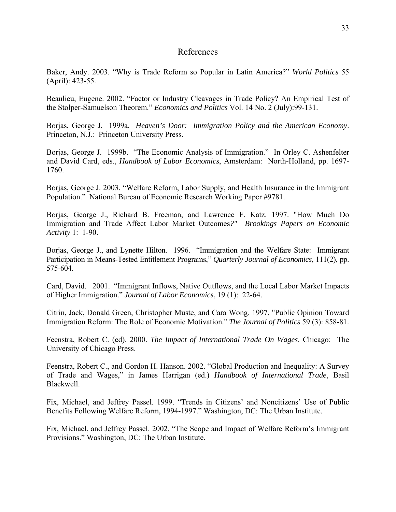# References

Baker, Andy. 2003. "Why is Trade Reform so Popular in Latin America?" *World Politics* 55 (April): 423-55.

Beaulieu, Eugene. 2002. "Factor or Industry Cleavages in Trade Policy? An Empirical Test of the Stolper-Samuelson Theorem." *Economics and Politics* Vol. 14 No. 2 (July):99-131.

Borjas, George J. 1999a. *Heaven's Door: Immigration Policy and the American Economy*. Princeton, N.J.: Princeton University Press.

Borjas, George J. 1999b. "The Economic Analysis of Immigration." In Orley C. Ashenfelter and David Card, eds., *Handbook of Labor Economics*, Amsterdam: North-Holland, pp. 1697- 1760.

Borjas, George J. 2003. "Welfare Reform, Labor Supply, and Health Insurance in the Immigrant Population." National Bureau of Economic Research Working Paper #9781.

Borjas, George J., Richard B. Freeman, and Lawrence F. Katz. 1997. "How Much Do Immigration and Trade Affect Labor Market Outcomes*?" Brookings Papers on Economic Activity* 1: 1-90.

Borjas, George J., and Lynette Hilton. 1996. "Immigration and the Welfare State: Immigrant Participation in Means-Tested Entitlement Programs," *Quarterly Journal of Economics*, 111(2), pp. 575-604.

Card, David. 2001. "Immigrant Inflows, Native Outflows, and the Local Labor Market Impacts of Higher Immigration." *Journal of Labor Economics*, 19 (1): 22-64.

Citrin, Jack, Donald Green, Christopher Muste, and Cara Wong. 1997. "Public Opinion Toward Immigration Reform: The Role of Economic Motivation." *The Journal of Politics* 59 (3): 858-81.

Feenstra, Robert C. (ed). 2000. *The Impact of International Trade On Wages*. Chicago: The University of Chicago Press.

Feenstra, Robert C., and Gordon H. Hanson. 2002. "Global Production and Inequality: A Survey of Trade and Wages," in James Harrigan (ed.) *Handbook of International Trade*, Basil Blackwell.

Fix, Michael, and Jeffrey Passel. 1999. "Trends in Citizens' and Noncitizens' Use of Public Benefits Following Welfare Reform, 1994-1997." Washington, DC: The Urban Institute.

Fix, Michael, and Jeffrey Passel. 2002. "The Scope and Impact of Welfare Reform's Immigrant Provisions." Washington, DC: The Urban Institute.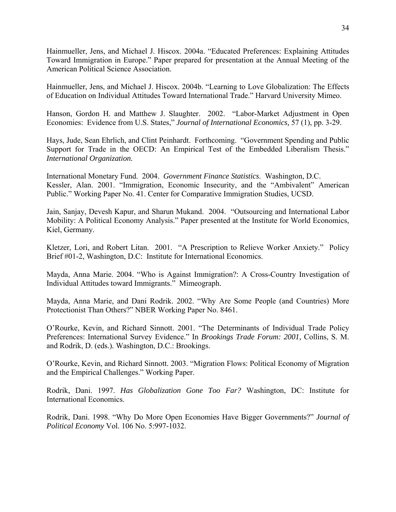Hainmueller, Jens, and Michael J. Hiscox. 2004a. "Educated Preferences: Explaining Attitudes Toward Immigration in Europe." Paper prepared for presentation at the Annual Meeting of the American Political Science Association.

Hainmueller, Jens, and Michael J. Hiscox. 2004b. "Learning to Love Globalization: The Effects of Education on Individual Attitudes Toward International Trade." Harvard University Mimeo.

Hanson, Gordon H. and Matthew J. Slaughter. 2002. "Labor-Market Adjustment in Open Economies: Evidence from U.S. States," *Journal of International Economics,* 57 (1), pp. 3-29.

Hays, Jude, Sean Ehrlich, and Clint Peinhardt. Forthcoming. "Government Spending and Public Support for Trade in the OECD: An Empirical Test of the Embedded Liberalism Thesis." *International Organization.*

International Monetary Fund. 2004. *Government Finance Statistics*. Washington, D.C. Kessler, Alan. 2001. "Immigration, Economic Insecurity, and the "Ambivalent" American Public." Working Paper No. 41. Center for Comparative Immigration Studies, UCSD.

Jain, Sanjay, Devesh Kapur, and Sharun Mukand. 2004. "Outsourcing and International Labor Mobility: A Political Economy Analysis." Paper presented at the Institute for World Economics, Kiel, Germany.

Kletzer, Lori, and Robert Litan. 2001. "A Prescription to Relieve Worker Anxiety." Policy Brief #01-2, Washington, D.C: Institute for International Economics.

Mayda, Anna Marie. 2004. "Who is Against Immigration?: A Cross-Country Investigation of Individual Attitudes toward Immigrants." Mimeograph.

Mayda, Anna Marie, and Dani Rodrik. 2002. "Why Are Some People (and Countries) More Protectionist Than Others?" NBER Working Paper No. 8461.

O'Rourke, Kevin, and Richard Sinnott. 2001. "The Determinants of Individual Trade Policy Preferences: International Survey Evidence." In *Brookings Trade Forum: 2001,* Collins, S. M. and Rodrik, D. (eds.)*.* Washington, D.C.: Brookings.

O'Rourke, Kevin, and Richard Sinnott. 2003. "Migration Flows: Political Economy of Migration and the Empirical Challenges." Working Paper.

Rodrik, Dani. 1997. *Has Globalization Gone Too Far?* Washington, DC: Institute for International Economics.

Rodrik, Dani. 1998. "Why Do More Open Economies Have Bigger Governments?" *Journal of Political Economy* Vol. 106 No. 5:997-1032.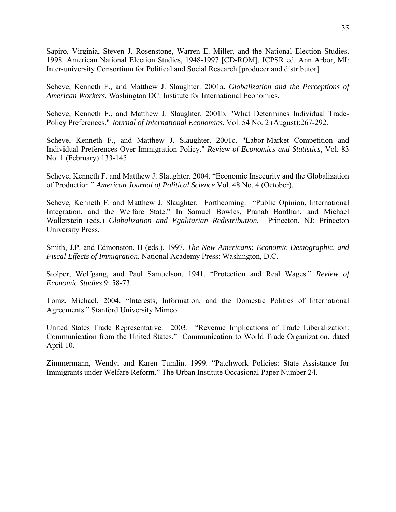Sapiro, Virginia, Steven J. Rosenstone, Warren E. Miller, and the National Election Studies. 1998. American National Election Studies, 1948-1997 [CD-ROM]. ICPSR ed. Ann Arbor, MI: Inter-university Consortium for Political and Social Research [producer and distributor].

Scheve, Kenneth F., and Matthew J. Slaughter. 2001a. *Globalization and the Perceptions of American Workers.* Washington DC: Institute for International Economics.

Scheve, Kenneth F., and Matthew J. Slaughter. 2001b. "What Determines Individual Trade-Policy Preferences." *Journal of International Economics*, Vol. 54 No. 2 (August):267-292.

Scheve, Kenneth F., and Matthew J. Slaughter. 2001c. "Labor-Market Competition and Individual Preferences Over Immigration Policy." *Review of Economics and Statistics*, Vol. 83 No. 1 (February):133-145.

Scheve, Kenneth F. and Matthew J. Slaughter. 2004. "Economic Insecurity and the Globalization of Production." *American Journal of Political Science* Vol. 48 No. 4 (October).

Scheve, Kenneth F. and Matthew J. Slaughter. Forthcoming. "Public Opinion, International Integration, and the Welfare State." In Samuel Bowles, Pranab Bardhan, and Michael Wallerstein (eds.) *Globalization and Egalitarian Redistribution.* Princeton, NJ: Princeton University Press.

Smith, J.P. and Edmonston, B (eds.). 1997. *The New Americans: Economic Demographic, and Fiscal Effects of Immigration.* National Academy Press: Washington, D.C.

Stolper, Wolfgang, and Paul Samuelson. 1941. "Protection and Real Wages." *Review of Economic Studies* 9: 58-73.

Tomz, Michael. 2004. "Interests, Information, and the Domestic Politics of International Agreements." Stanford University Mimeo.

United States Trade Representative. 2003. "Revenue Implications of Trade Liberalization: Communication from the United States." Communication to World Trade Organization, dated April 10.

Zimmermann, Wendy, and Karen Tumlin. 1999. "Patchwork Policies: State Assistance for Immigrants under Welfare Reform." The Urban Institute Occasional Paper Number 24.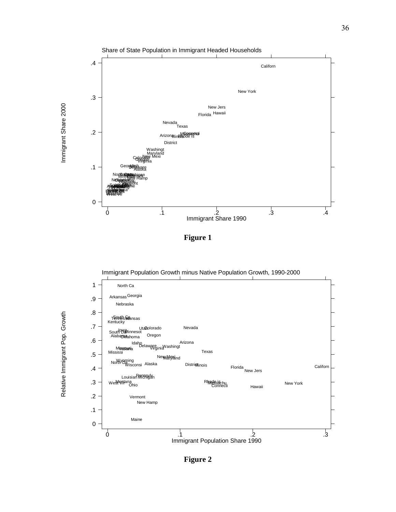

**Figure 1** 

Immigrant Population Growth minus Native Population Growth, 1990-2000



Relative Immigrant Pop. Growth

Relative Immigrant Pop. Growth

**Figure 2**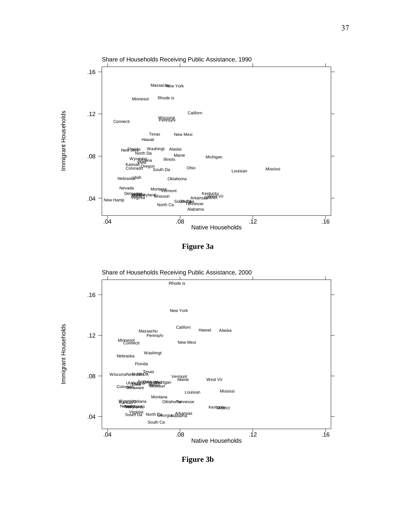

**Figure 3a** 



**Figure 3b**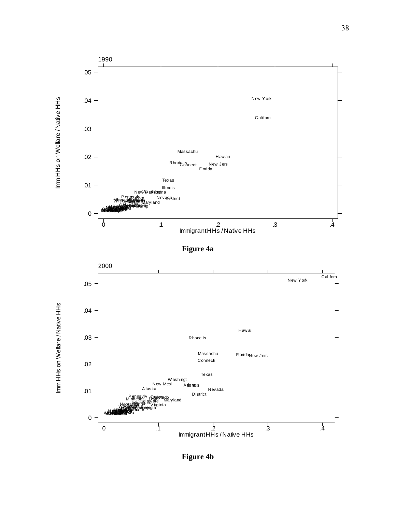

**Figure 4b**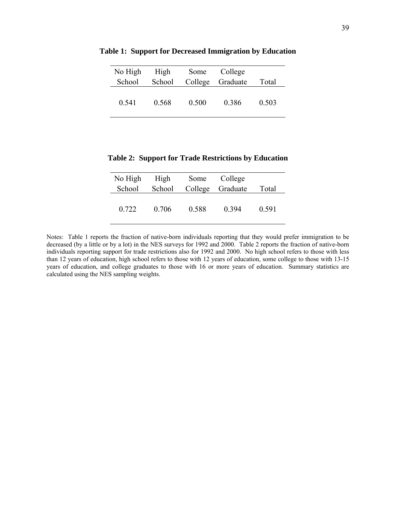| No High | High   | Some  | College          |       |
|---------|--------|-------|------------------|-------|
| School  | School |       | College Graduate | Total |
|         |        |       |                  |       |
| 0.541   | 0.568  | 0.500 | 0.386            | 0.503 |

**Table 1: Support for Decreased Immigration by Education** 

**Table 2: Support for Trade Restrictions by Education** 

| No High | High   | Some  | College          |       |
|---------|--------|-------|------------------|-------|
| School  | School |       | College Graduate | Total |
| 0.722   | 0.706  | 0.588 | 0 3 9 4          | 0.591 |

Notes: Table 1 reports the fraction of native-born individuals reporting that they would prefer immigration to be decreased (by a little or by a lot) in the NES surveys for 1992 and 2000. Table 2 reports the fraction of native-born individuals reporting support for trade restrictions also for 1992 and 2000. No high school refers to those with less than 12 years of education, high school refers to those with 12 years of education, some college to those with 13-15 years of education, and college graduates to those with 16 or more years of education. Summary statistics are calculated using the NES sampling weights.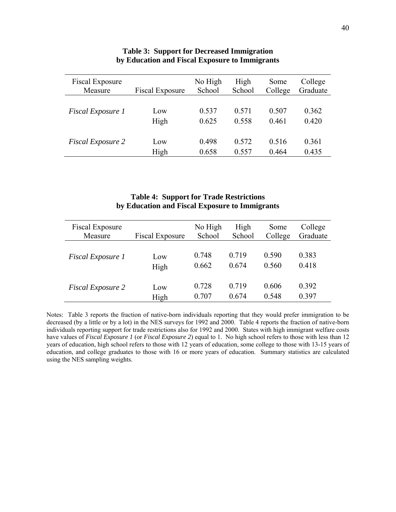| Fiscal Exposure          | <b>Fiscal Exposure</b> | No High | High   | Some    | College  |
|--------------------------|------------------------|---------|--------|---------|----------|
| Measure                  |                        | School  | School | College | Graduate |
| Fiscal Exposure 1        | Low                    | 0.537   | 0.571  | 0.507   | 0.362    |
|                          | High                   | 0.625   | 0.558  | 0.461   | 0.420    |
| <b>Fiscal Exposure 2</b> | Low                    | 0.498   | 0.572  | 0.516   | 0.361    |
|                          | High                   | 0.658   | 0.557  | 0.464   | 0.435    |

## **Table 3: Support for Decreased Immigration by Education and Fiscal Exposure to Immigrants**

# **Table 4: Support for Trade Restrictions by Education and Fiscal Exposure to Immigrants**

| Fiscal Exposure          | <b>Fiscal Exposure</b> | No High | High   | Some    | College  |
|--------------------------|------------------------|---------|--------|---------|----------|
| Measure                  |                        | School  | School | College | Graduate |
| Fiscal Exposure 1        | Low                    | 0.748   | 0.719  | 0.590   | 0.383    |
|                          | High                   | 0.662   | 0.674  | 0.560   | 0.418    |
| <b>Fiscal Exposure 2</b> | Low                    | 0.728   | 0.719  | 0.606   | 0.392    |
|                          | High                   | 0.707   | 0.674  | 0.548   | 0.397    |

Notes: Table 3 reports the fraction of native-born individuals reporting that they would prefer immigration to be decreased (by a little or by a lot) in the NES surveys for 1992 and 2000. Table 4 reports the fraction of native-born individuals reporting support for trade restrictions also for 1992 and 2000. States with high immigrant welfare costs have values of *Fiscal Exposure 1* (or *Fiscal Exposure 2*) equal to 1*.* No high school refers to those with less than 12 years of education, high school refers to those with 12 years of education, some college to those with 13-15 years of education, and college graduates to those with 16 or more years of education. Summary statistics are calculated using the NES sampling weights.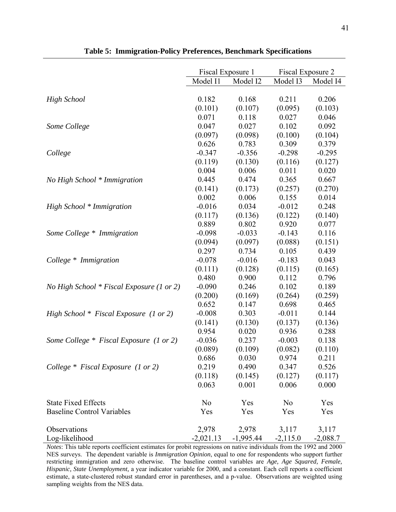|                                           | Fiscal Exposure 1 |             | Fiscal Exposure 2 |            |
|-------------------------------------------|-------------------|-------------|-------------------|------------|
|                                           | Model I1          | Model I2    | Model I3          | Model I4   |
|                                           |                   |             |                   |            |
| <b>High School</b>                        | 0.182             | 0.168       | 0.211             | 0.206      |
|                                           | (0.101)           | (0.107)     | (0.095)           | (0.103)    |
|                                           | 0.071             | 0.118       | 0.027             | 0.046      |
| Some College                              | 0.047             | 0.027       | 0.102             | 0.092      |
|                                           | (0.097)           | (0.098)     | (0.100)           | (0.104)    |
|                                           | 0.626             | 0.783       | 0.309             | 0.379      |
| College                                   | $-0.347$          | $-0.356$    | $-0.298$          | $-0.295$   |
|                                           | (0.119)           | (0.130)     | (0.116)           | (0.127)    |
|                                           | 0.004             | 0.006       | 0.011             | 0.020      |
| No High School * Immigration              | 0.445             | 0.474       | 0.365             | 0.667      |
|                                           | (0.141)           | (0.173)     | (0.257)           | (0.270)    |
|                                           | 0.002             | 0.006       | 0.155             | 0.014      |
| High School * Immigration                 | $-0.016$          | 0.034       | $-0.012$          | 0.248      |
|                                           | (0.117)           | (0.136)     | (0.122)           | (0.140)    |
|                                           | 0.889             | 0.802       | 0.920             | 0.077      |
| Some College * Immigration                | $-0.098$          | $-0.033$    | $-0.143$          | 0.116      |
|                                           | (0.094)           | (0.097)     | (0.088)           | (0.151)    |
|                                           | 0.297             | 0.734       | 0.105             | 0.439      |
| College * Immigration                     | $-0.078$          | $-0.016$    | $-0.183$          | 0.043      |
|                                           | (0.111)           | (0.128)     | (0.115)           | (0.165)    |
|                                           | 0.480             | 0.900       | 0.112             | 0.796      |
| No High School * Fiscal Exposure (1 or 2) | $-0.090$          | 0.246       | 0.102             | 0.189      |
|                                           | (0.200)           | (0.169)     | (0.264)           | (0.259)    |
|                                           | 0.652             | 0.147       | 0.698             | 0.465      |
| High School $*$ Fiscal Exposure (1 or 2)  | $-0.008$          | 0.303       | $-0.011$          | 0.144      |
|                                           | (0.141)           | (0.130)     | (0.137)           | (0.136)    |
|                                           | 0.954             | 0.020       | 0.936             | 0.288      |
| Some College * Fiscal Exposure (1 or 2)   | $-0.036$          | 0.237       | $-0.003$          | 0.138      |
|                                           | (0.089)           | (0.109)     | (0.082)           | (0.110)    |
|                                           | 0.686             | 0.030       | 0.974             | 0.211      |
| College $*$ Fiscal Exposure (1 or 2)      | 0.219             | 0.490       | 0.347             | 0.526      |
|                                           | (0.118)           | (0.145)     | (0.127)           | (0.117)    |
|                                           | 0.063             | 0.001       | 0.006             | 0.000      |
| <b>State Fixed Effects</b>                | N <sub>0</sub>    | Yes         | N <sub>0</sub>    | Yes        |
| <b>Baseline Control Variables</b>         | Yes               | Yes         | Yes               | Yes        |
| Observations                              | 2,978             | 2,978       | 3,117             | 3,117      |
| Log-likelihood                            | $-2,021.13$       | $-1,995.44$ | $-2,115.0$        | $-2,088.7$ |

**Table 5: Immigration-Policy Preferences, Benchmark Specifications**

*Notes*: This table reports coefficient estimates for probit regressions on native individuals from the 1992 and 2000 NES surveys. The dependent variable is *Immigration Opinion*, equal to one for respondents who support further restricting immigration and zero otherwise. The baseline control variables are *Age, Age Squared, Female, Hispanic, State Unemployment,* a year indicator variable for 2000, and a constant. Each cell reports a coefficient estimate, a state-clustered robust standard error in parentheses, and a p-value. Observations are weighted using sampling weights from the NES data.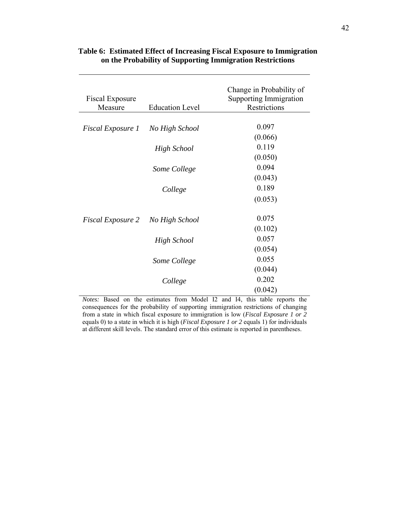| <b>Fiscal Exposure</b><br>Measure | <b>Education Level</b> | Change in Probability of<br><b>Supporting Immigration</b><br>Restrictions |
|-----------------------------------|------------------------|---------------------------------------------------------------------------|
|                                   |                        |                                                                           |
| <i>Fiscal Exposure 1</i>          | No High School         | 0.097                                                                     |
|                                   |                        | (0.066)                                                                   |
|                                   | <b>High School</b>     | 0.119                                                                     |
|                                   |                        | (0.050)                                                                   |
|                                   | Some College           | 0.094                                                                     |
|                                   |                        | (0.043)                                                                   |
|                                   | College                | 0.189                                                                     |
|                                   |                        | (0.053)                                                                   |
| <i>Fiscal Exposure 2</i>          | No High School         | 0.075                                                                     |
|                                   |                        | (0.102)                                                                   |
|                                   | <b>High School</b>     | 0.057                                                                     |
|                                   |                        | (0.054)                                                                   |
|                                   | Some College           | 0.055                                                                     |
|                                   |                        | (0.044)                                                                   |
|                                   | College                | 0.202                                                                     |
|                                   |                        | (0.042)                                                                   |

# **Table 6: Estimated Effect of Increasing Fiscal Exposure to Immigration on the Probability of Supporting Immigration Restrictions**

*Notes:* Based on the estimates from Model I2 and I4, this table reports the consequences for the probability of supporting immigration restrictions of changing from a state in which fiscal exposure to immigration is low (*Fiscal Exposure 1 or 2*  equals 0) to a state in which it is high (*Fiscal Exposure 1 or 2* equals 1) for individuals at different skill levels. The standard error of this estimate is reported in parentheses.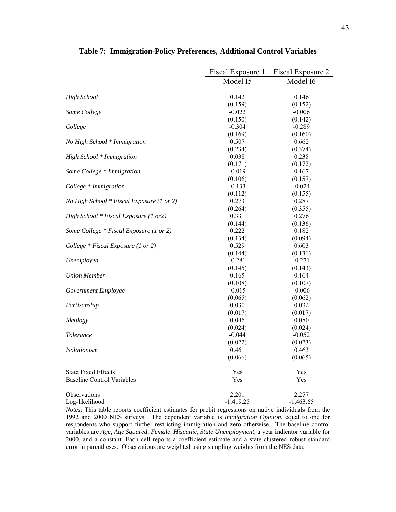|                                           | Fiscal Exposure 1 | Fiscal Exposure 2 |
|-------------------------------------------|-------------------|-------------------|
|                                           | Model I5          | Model I6          |
|                                           |                   |                   |
| <b>High School</b>                        | 0.142             | 0.146             |
|                                           | (0.159)           | (0.152)           |
| Some College                              | $-0.022$          | $-0.006$          |
|                                           | (0.150)           | (0.142)           |
| College                                   | $-0.304$          | $-0.289$          |
|                                           | (0.169)           | (0.160)           |
| No High School * Immigration              | 0.507             | 0.662             |
|                                           | (0.234)           | (0.374)           |
| High School * Immigration                 | 0.038             | 0.238             |
|                                           | (0.171)           | (0.172)           |
| Some College * Immigration                | $-0.019$          | 0.167             |
|                                           | (0.106)           | (0.157)           |
| College * Immigration                     | $-0.133$          | $-0.024$          |
|                                           | (0.112)           | (0.155)           |
| No High School * Fiscal Exposure (1 or 2) | 0.273             | 0.287             |
|                                           | (0.264)           | (0.355)           |
| High School * Fiscal Exposure (1 or2)     | 0.331             | 0.276             |
|                                           | (0.144)           | (0.136)           |
| Some College * Fiscal Exposure (1 or 2)   | 0.222             | 0.182             |
|                                           | (0.134)           | (0.094)           |
| College $*$ Fiscal Exposure (1 or 2)      | 0.529             | 0.603             |
|                                           | (0.144)           | (0.131)           |
| Unemployed                                | $-0.281$          | $-0.271$          |
|                                           | (0.145)           | (0.143)           |
| <b>Union Member</b>                       | 0.165             | 0.164             |
|                                           | (0.108)           | (0.107)           |
| Government Employee                       | $-0.015$          | $-0.006$          |
|                                           | (0.065)           | (0.062)           |
| Partisanship                              | 0.030             | 0.032             |
|                                           | (0.017)           | (0.017)           |
| Ideology                                  | 0.046             | 0.050             |
|                                           | (0.024)           | (0.024)           |
| Tolerance                                 | $-0.044$          | $-0.052$          |
|                                           | (0.022)           | (0.023)           |
| <i>Isolationism</i>                       | 0.461             | 0.463             |
|                                           | (0.066)           | (0.065)           |
| <b>State Fixed Effects</b>                | Yes               | Yes               |
| <b>Baseline Control Variables</b>         | Yes               | Yes               |
|                                           |                   |                   |
| Observations                              | 2,201             | 2,277             |
| Log-likelihood                            | $-1,419.25$       | $-1,463.65$       |

**Table 7: Immigration-Policy Preferences, Additional Control Variables**

*Notes*: This table reports coefficient estimates for probit regressions on native individuals from the 1992 and 2000 NES surveys. The dependent variable is *Immigration Opinion*, equal to one for respondents who support further restricting immigration and zero otherwise. The baseline control variables are *Age, Age Squared, Female, Hispanic, State Unemployment,* a year indicator variable for 2000, and a constant. Each cell reports a coefficient estimate and a state-clustered robust standard error in parentheses. Observations are weighted using sampling weights from the NES data.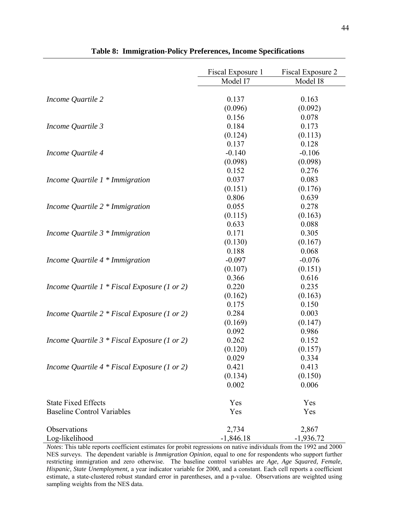|                                               | Fiscal Exposure 1 | Fiscal Exposure 2 |
|-----------------------------------------------|-------------------|-------------------|
|                                               | Model I7          | Model I8          |
| Income Quartile 2                             | 0.137             | 0.163             |
|                                               | (0.096)           | (0.092)           |
|                                               | 0.156             | 0.078             |
| Income Quartile 3                             | 0.184             | 0.173             |
|                                               | (0.124)           | (0.113)           |
|                                               | 0.137             | 0.128             |
| Income Quartile 4                             | $-0.140$          | $-0.106$          |
|                                               | (0.098)           | (0.098)           |
|                                               | 0.152             | 0.276             |
| Income Quartile $1 *$ Immigration             | 0.037             | 0.083             |
|                                               | (0.151)           | (0.176)           |
|                                               | 0.806             | 0.639             |
| Income Quartile $2 * Immigration$             | 0.055             | 0.278             |
|                                               | (0.115)           | (0.163)           |
|                                               | 0.633             | 0.088             |
| Income Quartile $3 * Immigration$             | 0.171             | 0.305             |
|                                               | (0.130)           | (0.167)           |
|                                               | 0.188             | 0.068             |
| Income Quartile $4 * Immigration$             | $-0.097$          | $-0.076$          |
|                                               | (0.107)           | (0.151)           |
|                                               | 0.366             | 0.616             |
| Income Quartile $1 * Fixed$ Exposure (1 or 2) | 0.220             | 0.235             |
|                                               | (0.162)           | (0.163)           |
|                                               | 0.175             | 0.150             |
| Income Quartile $2 * Fixed$ Exposure (1 or 2) | 0.284             | 0.003             |
|                                               | (0.169)           | (0.147)           |
|                                               | 0.092             | 0.986             |
| Income Quartile $3 * Fixed$ Exposure (1 or 2) | 0.262             | 0.152             |
|                                               | (0.120)           | (0.157)           |
|                                               | 0.029             | 0.334             |
| Income Quartile $4 * Fixed$ Exposure (1 or 2) | 0.421             | 0.413             |
|                                               | (0.134)           | (0.150)           |
|                                               | 0.002             | 0.006             |
| <b>State Fixed Effects</b>                    | Yes               | Yes               |
| <b>Baseline Control Variables</b>             | Yes               | Yes               |
| Observations                                  | 2,734             | 2,867             |
| Log-likelihood                                | $-1,846.18$       | $-1,936.72$       |

**Table 8: Immigration-Policy Preferences, Income Specifications**

*Notes*: This table reports coefficient estimates for probit regressions on native individuals from the 1992 and 2000 NES surveys. The dependent variable is *Immigration Opinion*, equal to one for respondents who support further restricting immigration and zero otherwise. The baseline control variables are *Age, Age Squared, Female, Hispanic, State Unemployment,* a year indicator variable for 2000, and a constant. Each cell reports a coefficient estimate, a state-clustered robust standard error in parentheses, and a p-value. Observations are weighted using sampling weights from the NES data.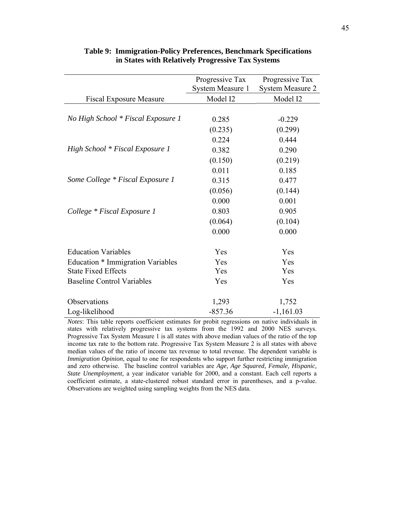|                                                                 | Progressive Tax  | Progressive Tax         |
|-----------------------------------------------------------------|------------------|-------------------------|
|                                                                 | System Measure 1 | <b>System Measure 2</b> |
| <b>Fiscal Exposure Measure</b>                                  | Model I2         | Model I2                |
|                                                                 |                  |                         |
| No High School * Fiscal Exposure 1                              | 0.285            | $-0.229$                |
|                                                                 | (0.235)          | (0.299)                 |
|                                                                 | 0.224            | 0.444                   |
| High School * Fiscal Exposure 1                                 | 0.382            | 0.290                   |
|                                                                 | (0.150)          | (0.219)                 |
|                                                                 | 0.011            | 0.185                   |
| Some College * Fiscal Exposure 1                                | 0.315            | 0.477                   |
|                                                                 | (0.056)          | (0.144)                 |
|                                                                 | 0.000            | 0.001                   |
| College * Fiscal Exposure 1                                     | 0.803            | 0.905                   |
|                                                                 | (0.064)          | (0.104)                 |
|                                                                 | 0.000            | 0.000                   |
| <b>Education Variables</b>                                      | Yes              | Yes                     |
|                                                                 | Yes              | Yes                     |
| Education * Immigration Variables<br><b>State Fixed Effects</b> | Yes              | Yes                     |
|                                                                 |                  |                         |
| <b>Baseline Control Variables</b>                               | Yes              | Yes                     |
| Observations                                                    | 1,293            | 1,752                   |
| Log-likelihood                                                  | $-857.36$        | $-1,161.03$             |

### **Table 9: Immigration-Policy Preferences, Benchmark Specifications in States with Relatively Progressive Tax Systems**

*Notes*: This table reports coefficient estimates for probit regressions on native individuals in states with relatively progressive tax systems from the 1992 and 2000 NES surveys. Progressive Tax System Measure 1 is all states with above median values of the ratio of the top income tax rate to the bottom rate. Progressive Tax System Measure 2 is all states with above median values of the ratio of income tax revenue to total revenue. The dependent variable is *Immigration Opinion*, equal to one for respondents who support further restricting immigration and zero otherwise. The baseline control variables are *Age, Age Squared, Female, Hispanic, State Unemployment,* a year indicator variable for 2000, and a constant. Each cell reports a coefficient estimate, a state-clustered robust standard error in parentheses, and a p-value. Observations are weighted using sampling weights from the NES data.